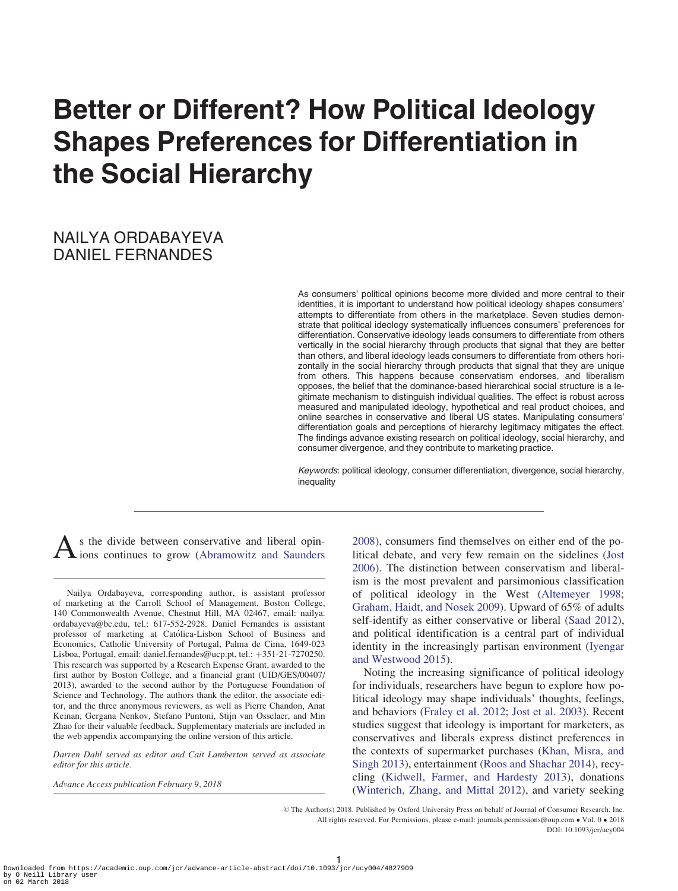# Better or Different? How Political Ideology Shapes Preferences for Differentiation in the Social Hierarchy

# NAILYA ORDABAYEVA DANIEL FERNANDES

As consumers' political opinions become more divided and more central to their identities, it is important to understand how political ideology shapes consumers' attempts to differentiate from others in the marketplace. Seven studies demonstrate that political ideology systematically influences consumers' preferences for differentiation. Conservative ideology leads consumers to differentiate from others vertically in the social hierarchy through products that signal that they are better than others, and liberal ideology leads consumers to differentiate from others horizontally in the social hierarchy through products that signal that they are unique from others. This happens because conservatism endorses, and liberalism opposes, the belief that the dominance-based hierarchical social structure is a legitimate mechanism to distinguish individual qualities. The effect is robust across measured and manipulated ideology, hypothetical and real product choices, and online searches in conservative and liberal US states. Manipulating consumers' differentiation goals and perceptions of hierarchy legitimacy mitigates the effect. The findings advance existing research on political ideology, social hierarchy, and consumer divergence, and they contribute to marketing practice.

Keywords: political ideology, consumer differentiation, divergence, social hierarchy, inequality

s the divide between conservative and liberal opinions continues to grow (Abramowitz and Saunders

Nailya Ordabayeva, corresponding author, is assistant professor of marketing at the Carroll School of Management, Boston College, 140 Commonwealth Avenue, Chestnut Hill, MA 02467, email: nailya. ordabayeva@bc.edu, tel.: 617-552-2928. Daniel Fernandes is assistant professor of marketing at Católica-Lisbon School of Business and Economics, Catholic University of Portugal, Palma de Cima, 1649-023 Lisboa, Portugal, email: daniel.fernandes@ucp.pt, tel.: +351-21-7270250. This research was supported by a Research Expense Grant, awarded to the first author by Boston College, and a financial grant (UID/GES/00407/ 2013), awarded to the second author by the Portuguese Foundation of Science and Technology. The authors thank the editor, the associate editor, and the three anonymous reviewers, as well as Pierre Chandon, Anat Keinan, Gergana Nenkov, Stefano Puntoni, Stijn van Osselaer, and Min Zhao for their valuable feedback. Supplementary materials are included in the web appendix accompanying the online version of this article.

Darren Dahl served as editor and Cait Lamberton served as associate editor for this article.

Advance Access publication February 9, 2018

[2008\)](#page-21-0), consumers find themselves on either end of the political debate, and very few remain on the sidelines ([Jost](#page-22-0) [2006\)](#page-22-0). The distinction between conservatism and liberalism is the most prevalent and parsimonious classification of political ideology in the West ([Altemeyer 1998;](#page-21-0) [Graham, Haidt, and Nosek 2009](#page-22-0)). Upward of 65% of adults self-identify as either conservative or liberal ([Saad 2012\)](#page-23-0), and political identification is a central part of individual identity in the increasingly partisan environment ([Iyengar](#page-22-0) [and Westwood 2015\)](#page-22-0).

Noting the increasing significance of political ideology for individuals, researchers have begun to explore how political ideology may shape individuals' thoughts, feelings, and behaviors [\(Fraley et al. 2012](#page-22-0); [Jost et al. 2003\)](#page-22-0). Recent studies suggest that ideology is important for marketers, as conservatives and liberals express distinct preferences in the contexts of supermarket purchases [\(Khan, Misra, and](#page-22-0) [Singh 2013](#page-22-0)), entertainment ([Roos and Shachar 2014\)](#page-23-0), recycling ([Kidwell, Farmer, and Hardesty 2013](#page-22-0)), donations ([Winterich, Zhang, and Mittal 2012](#page-23-0)), and variety seeking

V<sup>C</sup> The Author(s) 2018. Published by Oxford University Press on behalf of Journal of Consumer Research, Inc. All rights reserved. For Permissions, please e-mail: journals.permissions@oup.com • Vol. 0 • 2018 DOI: 10.1093/jcr/ucy004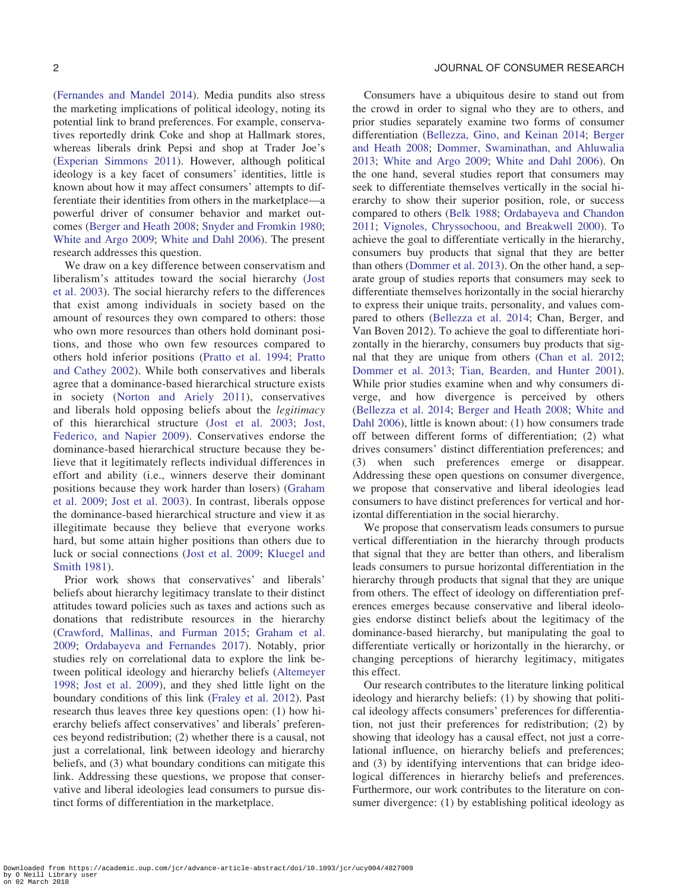[\(Fernandes and Mandel 2014](#page-22-0)). Media pundits also stress the marketing implications of political ideology, noting its potential link to brand preferences. For example, conservatives reportedly drink Coke and shop at Hallmark stores, whereas liberals drink Pepsi and shop at Trader Joe's [\(Experian Simmons 2011\)](#page-22-0). However, although political ideology is a key facet of consumers' identities, little is known about how it may affect consumers' attempts to differentiate their identities from others in the marketplace—a powerful driver of consumer behavior and market outcomes [\(Berger and Heath 2008](#page-21-0); [Snyder and Fromkin 1980;](#page-23-0) [White and Argo 2009;](#page-23-0) [White and Dahl 2006](#page-23-0)). The present research addresses this question.

We draw on a key difference between conservatism and liberalism's attitudes toward the social hierarchy ([Jost](#page-22-0) [et al. 2003\)](#page-22-0). The social hierarchy refers to the differences that exist among individuals in society based on the amount of resources they own compared to others: those who own more resources than others hold dominant positions, and those who own few resources compared to others hold inferior positions ([Pratto et al. 1994;](#page-23-0) [Pratto](#page-23-0) [and Cathey 2002\)](#page-23-0). While both conservatives and liberals agree that a dominance-based hierarchical structure exists in society ([Norton and Ariely 2011](#page-23-0)), conservatives and liberals hold opposing beliefs about the legitimacy of this hierarchical structure [\(Jost et al. 2003;](#page-22-0) [Jost,](#page-22-0) [Federico, and Napier 2009\)](#page-22-0). Conservatives endorse the dominance-based hierarchical structure because they believe that it legitimately reflects individual differences in effort and ability (i.e., winners deserve their dominant positions because they work harder than losers) ([Graham](#page-22-0) [et al. 2009;](#page-22-0) [Jost et al. 2003\)](#page-22-0). In contrast, liberals oppose the dominance-based hierarchical structure and view it as illegitimate because they believe that everyone works hard, but some attain higher positions than others due to luck or social connections ([Jost et al. 2009](#page-22-0); [Kluegel and](#page-22-0) [Smith 1981](#page-22-0)).

Prior work shows that conservatives' and liberals' beliefs about hierarchy legitimacy translate to their distinct attitudes toward policies such as taxes and actions such as donations that redistribute resources in the hierarchy [\(Crawford, Mallinas, and Furman 2015;](#page-22-0) [Graham et al.](#page-22-0) [2009;](#page-22-0) [Ordabayeva and Fernandes 2017\)](#page-23-0). Notably, prior studies rely on correlational data to explore the link between political ideology and hierarchy beliefs [\(Altemeyer](#page-21-0) [1998;](#page-21-0) [Jost et al. 2009\)](#page-22-0), and they shed little light on the boundary conditions of this link [\(Fraley et al. 2012\)](#page-22-0). Past research thus leaves three key questions open: (1) how hierarchy beliefs affect conservatives' and liberals' preferences beyond redistribution; (2) whether there is a causal, not just a correlational, link between ideology and hierarchy beliefs, and (3) what boundary conditions can mitigate this link. Addressing these questions, we propose that conservative and liberal ideologies lead consumers to pursue distinct forms of differentiation in the marketplace.

Consumers have a ubiquitous desire to stand out from the crowd in order to signal who they are to others, and prior studies separately examine two forms of consumer differentiation ([Bellezza, Gino, and Keinan 2014](#page-21-0); [Berger](#page-21-0) [and Heath 2008;](#page-21-0) [Dommer, Swaminathan, and Ahluwalia](#page-22-0) [2013;](#page-22-0) [White and Argo 2009;](#page-23-0) [White and Dahl 2006](#page-23-0)). On the one hand, several studies report that consumers may seek to differentiate themselves vertically in the social hierarchy to show their superior position, role, or success compared to others ([Belk 1988;](#page-21-0) [Ordabayeva and Chandon](#page-23-0) [2011;](#page-23-0) [Vignoles, Chryssochoou, and Breakwell 2000](#page-23-0)). To achieve the goal to differentiate vertically in the hierarchy, consumers buy products that signal that they are better than others ([Dommer et al. 2013\)](#page-22-0). On the other hand, a separate group of studies reports that consumers may seek to differentiate themselves horizontally in the social hierarchy to express their unique traits, personality, and values compared to others [\(Bellezza et al. 2014;](#page-21-0) Chan, Berger, and Van Boven 2012). To achieve the goal to differentiate horizontally in the hierarchy, consumers buy products that signal that they are unique from others ([Chan et al. 2012;](#page-22-0) [Dommer et al. 2013;](#page-22-0) [Tian, Bearden, and Hunter 2001\)](#page-23-0). While prior studies examine when and why consumers diverge, and how divergence is perceived by others ([Bellezza et al. 2014;](#page-21-0) [Berger and Heath 2008](#page-21-0); [White and](#page-23-0) [Dahl 2006\)](#page-23-0), little is known about: (1) how consumers trade off between different forms of differentiation; (2) what drives consumers' distinct differentiation preferences; and (3) when such preferences emerge or disappear. Addressing these open questions on consumer divergence, we propose that conservative and liberal ideologies lead consumers to have distinct preferences for vertical and horizontal differentiation in the social hierarchy.

We propose that conservatism leads consumers to pursue vertical differentiation in the hierarchy through products that signal that they are better than others, and liberalism leads consumers to pursue horizontal differentiation in the hierarchy through products that signal that they are unique from others. The effect of ideology on differentiation preferences emerges because conservative and liberal ideologies endorse distinct beliefs about the legitimacy of the dominance-based hierarchy, but manipulating the goal to differentiate vertically or horizontally in the hierarchy, or changing perceptions of hierarchy legitimacy, mitigates this effect.

Our research contributes to the literature linking political ideology and hierarchy beliefs: (1) by showing that political ideology affects consumers' preferences for differentiation, not just their preferences for redistribution; (2) by showing that ideology has a causal effect, not just a correlational influence, on hierarchy beliefs and preferences; and (3) by identifying interventions that can bridge ideological differences in hierarchy beliefs and preferences. Furthermore, our work contributes to the literature on consumer divergence: (1) by establishing political ideology as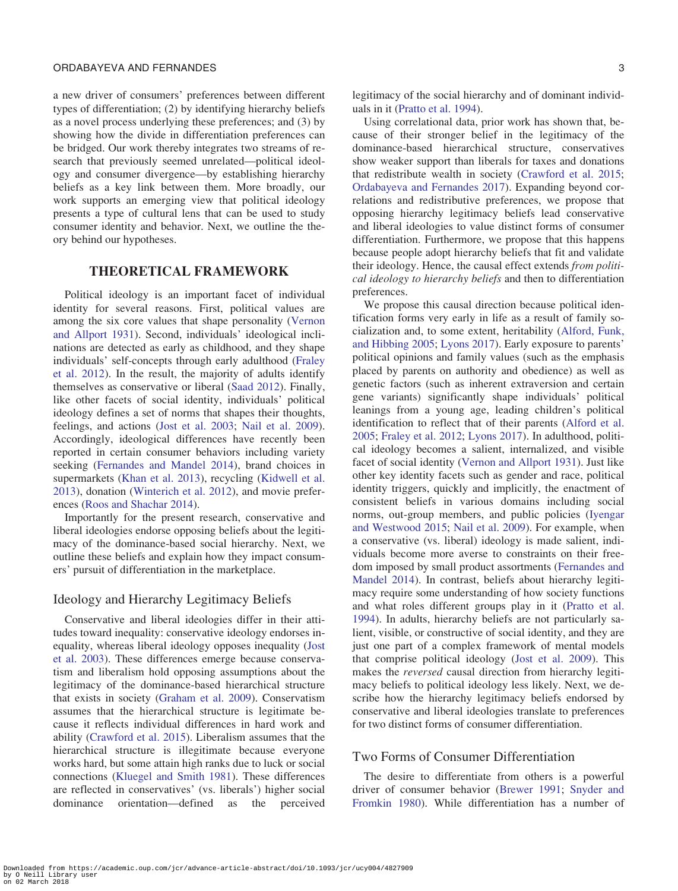#### ORDABAYEVA AND FERNANDES 3

a new driver of consumers' preferences between different types of differentiation; (2) by identifying hierarchy beliefs as a novel process underlying these preferences; and (3) by showing how the divide in differentiation preferences can be bridged. Our work thereby integrates two streams of research that previously seemed unrelated—political ideology and consumer divergence—by establishing hierarchy beliefs as a key link between them. More broadly, our work supports an emerging view that political ideology presents a type of cultural lens that can be used to study consumer identity and behavior. Next, we outline the theory behind our hypotheses.

# THEORETICAL FRAMEWORK

Political ideology is an important facet of individual identity for several reasons. First, political values are among the six core values that shape personality ([Vernon](#page-23-0) [and Allport 1931](#page-23-0)). Second, individuals' ideological inclinations are detected as early as childhood, and they shape individuals' self-concepts through early adulthood ([Fraley](#page-22-0) [et al. 2012\)](#page-22-0). In the result, the majority of adults identify themselves as conservative or liberal [\(Saad 2012\)](#page-23-0). Finally, like other facets of social identity, individuals' political ideology defines a set of norms that shapes their thoughts, feelings, and actions [\(Jost et al. 2003;](#page-22-0) [Nail et al. 2009\)](#page-23-0). Accordingly, ideological differences have recently been reported in certain consumer behaviors including variety seeking [\(Fernandes and Mandel 2014](#page-22-0)), brand choices in supermarkets ([Khan et al. 2013](#page-22-0)), recycling [\(Kidwell et al.](#page-22-0) [2013\)](#page-22-0), donation [\(Winterich et al. 2012\)](#page-23-0), and movie preferences ([Roos and Shachar 2014\)](#page-23-0).

Importantly for the present research, conservative and liberal ideologies endorse opposing beliefs about the legitimacy of the dominance-based social hierarchy. Next, we outline these beliefs and explain how they impact consumers' pursuit of differentiation in the marketplace.

## Ideology and Hierarchy Legitimacy Beliefs

Conservative and liberal ideologies differ in their attitudes toward inequality: conservative ideology endorses inequality, whereas liberal ideology opposes inequality [\(Jost](#page-22-0) [et al. 2003\)](#page-22-0). These differences emerge because conservatism and liberalism hold opposing assumptions about the legitimacy of the dominance-based hierarchical structure that exists in society ([Graham et al. 2009\)](#page-22-0). Conservatism assumes that the hierarchical structure is legitimate because it reflects individual differences in hard work and ability ([Crawford et al. 2015](#page-22-0)). Liberalism assumes that the hierarchical structure is illegitimate because everyone works hard, but some attain high ranks due to luck or social connections ([Kluegel and Smith 1981\)](#page-22-0). These differences are reflected in conservatives' (vs. liberals') higher social dominance orientation—defined as the perceived

legitimacy of the social hierarchy and of dominant individuals in it [\(Pratto et al. 1994\)](#page-23-0).

Using correlational data, prior work has shown that, because of their stronger belief in the legitimacy of the dominance-based hierarchical structure, conservatives show weaker support than liberals for taxes and donations that redistribute wealth in society ([Crawford et al. 2015;](#page-22-0) [Ordabayeva and Fernandes 2017\)](#page-23-0). Expanding beyond correlations and redistributive preferences, we propose that opposing hierarchy legitimacy beliefs lead conservative and liberal ideologies to value distinct forms of consumer differentiation. Furthermore, we propose that this happens because people adopt hierarchy beliefs that fit and validate their ideology. Hence, the causal effect extends from political ideology to hierarchy beliefs and then to differentiation preferences.

We propose this causal direction because political identification forms very early in life as a result of family socialization and, to some extent, heritability ([Alford, Funk,](#page-21-0) [and Hibbing 2005;](#page-21-0) [Lyons 2017\)](#page-22-0). Early exposure to parents' political opinions and family values (such as the emphasis placed by parents on authority and obedience) as well as genetic factors (such as inherent extraversion and certain gene variants) significantly shape individuals' political leanings from a young age, leading children's political identification to reflect that of their parents [\(Alford et al.](#page-21-0) [2005;](#page-21-0) [Fraley et al. 2012;](#page-22-0) [Lyons 2017](#page-22-0)). In adulthood, political ideology becomes a salient, internalized, and visible facet of social identity ([Vernon and Allport 1931\)](#page-23-0). Just like other key identity facets such as gender and race, political identity triggers, quickly and implicitly, the enactment of consistent beliefs in various domains including social norms, out-group members, and public policies ([Iyengar](#page-22-0) [and Westwood 2015;](#page-22-0) [Nail et al. 2009\)](#page-23-0). For example, when a conservative (vs. liberal) ideology is made salient, individuals become more averse to constraints on their freedom imposed by small product assortments [\(Fernandes and](#page-22-0) [Mandel 2014](#page-22-0)). In contrast, beliefs about hierarchy legitimacy require some understanding of how society functions and what roles different groups play in it ([Pratto et al.](#page-23-0) [1994\)](#page-23-0). In adults, hierarchy beliefs are not particularly salient, visible, or constructive of social identity, and they are just one part of a complex framework of mental models that comprise political ideology ([Jost et al. 2009\)](#page-22-0). This makes the reversed causal direction from hierarchy legitimacy beliefs to political ideology less likely. Next, we describe how the hierarchy legitimacy beliefs endorsed by conservative and liberal ideologies translate to preferences for two distinct forms of consumer differentiation.

# Two Forms of Consumer Differentiation

The desire to differentiate from others is a powerful driver of consumer behavior ([Brewer 1991](#page-21-0); [Snyder and](#page-23-0) [Fromkin 1980\)](#page-23-0). While differentiation has a number of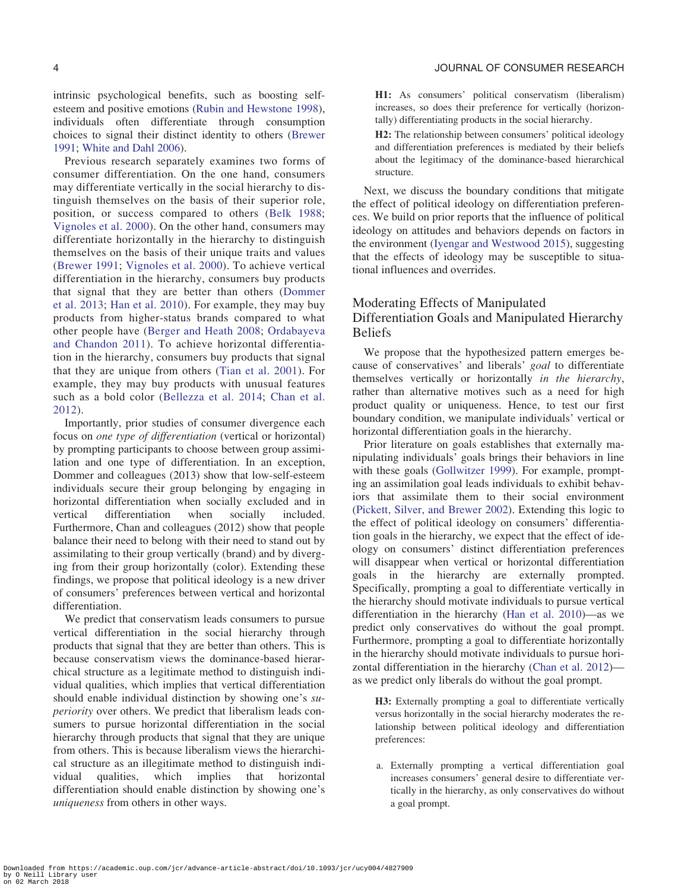intrinsic psychological benefits, such as boosting selfesteem and positive emotions [\(Rubin and Hewstone 1998\)](#page-23-0), individuals often differentiate through consumption choices to signal their distinct identity to others [\(Brewer](#page-21-0) [1991;](#page-21-0) [White and Dahl 2006](#page-23-0)).

Previous research separately examines two forms of consumer differentiation. On the one hand, consumers may differentiate vertically in the social hierarchy to distinguish themselves on the basis of their superior role, position, or success compared to others ([Belk 1988;](#page-21-0) [Vignoles et al. 2000](#page-23-0)). On the other hand, consumers may differentiate horizontally in the hierarchy to distinguish themselves on the basis of their unique traits and values [\(Brewer 1991;](#page-21-0) [Vignoles et al. 2000\)](#page-23-0). To achieve vertical differentiation in the hierarchy, consumers buy products that signal that they are better than others ([Dommer](#page-22-0) [et al. 2013](#page-22-0); [Han et al. 2010](#page-22-0)). For example, they may buy products from higher-status brands compared to what other people have ([Berger and Heath 2008](#page-21-0); [Ordabayeva](#page-23-0) [and Chandon 2011\)](#page-23-0). To achieve horizontal differentiation in the hierarchy, consumers buy products that signal that they are unique from others ([Tian et al. 2001\)](#page-23-0). For example, they may buy products with unusual features such as a bold color [\(Bellezza et al. 2014;](#page-21-0) [Chan et al.](#page-22-0) [2012\)](#page-22-0).

Importantly, prior studies of consumer divergence each focus on one type of differentiation (vertical or horizontal) by prompting participants to choose between group assimilation and one type of differentiation. In an exception, Dommer and colleagues (2013) show that low-self-esteem individuals secure their group belonging by engaging in horizontal differentiation when socially excluded and in vertical differentiation when socially included. Furthermore, Chan and colleagues (2012) show that people balance their need to belong with their need to stand out by assimilating to their group vertically (brand) and by diverging from their group horizontally (color). Extending these findings, we propose that political ideology is a new driver of consumers' preferences between vertical and horizontal differentiation.

We predict that conservatism leads consumers to pursue vertical differentiation in the social hierarchy through products that signal that they are better than others. This is because conservatism views the dominance-based hierarchical structure as a legitimate method to distinguish individual qualities, which implies that vertical differentiation should enable individual distinction by showing one's superiority over others. We predict that liberalism leads consumers to pursue horizontal differentiation in the social hierarchy through products that signal that they are unique from others. This is because liberalism views the hierarchical structure as an illegitimate method to distinguish individual qualities, which implies that horizontal differentiation should enable distinction by showing one's uniqueness from others in other ways.

H1: As consumers' political conservatism (liberalism) increases, so does their preference for vertically (horizontally) differentiating products in the social hierarchy.

H2: The relationship between consumers' political ideology and differentiation preferences is mediated by their beliefs about the legitimacy of the dominance-based hierarchical structure.

Next, we discuss the boundary conditions that mitigate the effect of political ideology on differentiation preferences. We build on prior reports that the influence of political ideology on attitudes and behaviors depends on factors in the environment [\(Iyengar and Westwood 2015](#page-22-0)), suggesting that the effects of ideology may be susceptible to situational influences and overrides.

# Moderating Effects of Manipulated Differentiation Goals and Manipulated Hierarchy Beliefs

We propose that the hypothesized pattern emerges because of conservatives' and liberals' goal to differentiate themselves vertically or horizontally in the hierarchy, rather than alternative motives such as a need for high product quality or uniqueness. Hence, to test our first boundary condition, we manipulate individuals' vertical or horizontal differentiation goals in the hierarchy.

Prior literature on goals establishes that externally manipulating individuals' goals brings their behaviors in line with these goals [\(Gollwitzer 1999](#page-22-0)). For example, prompting an assimilation goal leads individuals to exhibit behaviors that assimilate them to their social environment ([Pickett, Silver, and Brewer 2002](#page-23-0)). Extending this logic to the effect of political ideology on consumers' differentiation goals in the hierarchy, we expect that the effect of ideology on consumers' distinct differentiation preferences will disappear when vertical or horizontal differentiation goals in the hierarchy are externally prompted. Specifically, prompting a goal to differentiate vertically in the hierarchy should motivate individuals to pursue vertical differentiation in the hierarchy ([Han et al. 2010](#page-22-0))—as we predict only conservatives do without the goal prompt. Furthermore, prompting a goal to differentiate horizontally in the hierarchy should motivate individuals to pursue horizontal differentiation in the hierarchy ([Chan et al. 2012](#page-22-0)) as we predict only liberals do without the goal prompt.

H3: Externally prompting a goal to differentiate vertically versus horizontally in the social hierarchy moderates the relationship between political ideology and differentiation preferences:

a. Externally prompting a vertical differentiation goal increases consumers' general desire to differentiate vertically in the hierarchy, as only conservatives do without a goal prompt.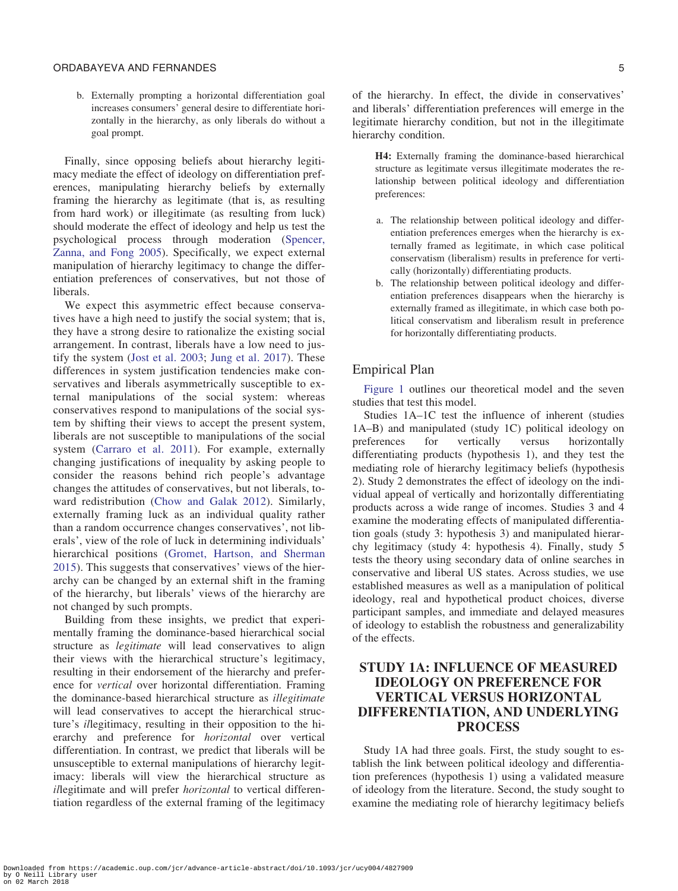#### ORDABAYEVA AND FERNANDES 5

b. Externally prompting a horizontal differentiation goal increases consumers' general desire to differentiate horizontally in the hierarchy, as only liberals do without a goal prompt.

Finally, since opposing beliefs about hierarchy legitimacy mediate the effect of ideology on differentiation preferences, manipulating hierarchy beliefs by externally framing the hierarchy as legitimate (that is, as resulting from hard work) or illegitimate (as resulting from luck) should moderate the effect of ideology and help us test the psychological process through moderation ([Spencer,](#page-23-0) [Zanna, and Fong 2005](#page-23-0)). Specifically, we expect external manipulation of hierarchy legitimacy to change the differentiation preferences of conservatives, but not those of liberals.

We expect this asymmetric effect because conservatives have a high need to justify the social system; that is, they have a strong desire to rationalize the existing social arrangement. In contrast, liberals have a low need to justify the system [\(Jost et al. 2003;](#page-22-0) [Jung et al. 2017](#page-22-0)). These differences in system justification tendencies make conservatives and liberals asymmetrically susceptible to external manipulations of the social system: whereas conservatives respond to manipulations of the social system by shifting their views to accept the present system, liberals are not susceptible to manipulations of the social system [\(Carraro et al. 2011](#page-22-0)). For example, externally changing justifications of inequality by asking people to consider the reasons behind rich people's advantage changes the attitudes of conservatives, but not liberals, toward redistribution ([Chow and Galak 2012\)](#page-22-0). Similarly, externally framing luck as an individual quality rather than a random occurrence changes conservatives', not liberals', view of the role of luck in determining individuals' hierarchical positions ([Gromet, Hartson, and Sherman](#page-22-0) [2015](#page-22-0)). This suggests that conservatives' views of the hierarchy can be changed by an external shift in the framing of the hierarchy, but liberals' views of the hierarchy are not changed by such prompts.

Building from these insights, we predict that experimentally framing the dominance-based hierarchical social structure as legitimate will lead conservatives to align their views with the hierarchical structure's legitimacy, resulting in their endorsement of the hierarchy and preference for vertical over horizontal differentiation. Framing the dominance-based hierarchical structure as illegitimate will lead conservatives to accept the hierarchical structure's illegitimacy, resulting in their opposition to the hierarchy and preference for horizontal over vertical differentiation. In contrast, we predict that liberals will be unsusceptible to external manipulations of hierarchy legitimacy: liberals will view the hierarchical structure as illegitimate and will prefer *horizontal* to vertical differentiation regardless of the external framing of the legitimacy

of the hierarchy. In effect, the divide in conservatives' and liberals' differentiation preferences will emerge in the legitimate hierarchy condition, but not in the illegitimate hierarchy condition.

H4: Externally framing the dominance-based hierarchical structure as legitimate versus illegitimate moderates the relationship between political ideology and differentiation preferences:

- a. The relationship between political ideology and differentiation preferences emerges when the hierarchy is externally framed as legitimate, in which case political conservatism (liberalism) results in preference for vertically (horizontally) differentiating products.
- b. The relationship between political ideology and differentiation preferences disappears when the hierarchy is externally framed as illegitimate, in which case both political conservatism and liberalism result in preference for horizontally differentiating products.

#### Empirical Plan

[Figure 1](#page-5-0) outlines our theoretical model and the seven studies that test this model.

Studies 1A–1C test the influence of inherent (studies 1A–B) and manipulated (study 1C) political ideology on preferences for vertically versus horizontally differentiating products (hypothesis 1), and they test the mediating role of hierarchy legitimacy beliefs (hypothesis 2). Study 2 demonstrates the effect of ideology on the individual appeal of vertically and horizontally differentiating products across a wide range of incomes. Studies 3 and 4 examine the moderating effects of manipulated differentiation goals (study 3: hypothesis 3) and manipulated hierarchy legitimacy (study 4: hypothesis 4). Finally, study 5 tests the theory using secondary data of online searches in conservative and liberal US states. Across studies, we use established measures as well as a manipulation of political ideology, real and hypothetical product choices, diverse participant samples, and immediate and delayed measures of ideology to establish the robustness and generalizability of the effects.

# STUDY 1A: INFLUENCE OF MEASURED IDEOLOGY ON PREFERENCE FOR VERTICAL VERSUS HORIZONTAL DIFFERENTIATION, AND UNDERLYING PROCESS

Study 1A had three goals. First, the study sought to establish the link between political ideology and differentiation preferences (hypothesis 1) using a validated measure of ideology from the literature. Second, the study sought to examine the mediating role of hierarchy legitimacy beliefs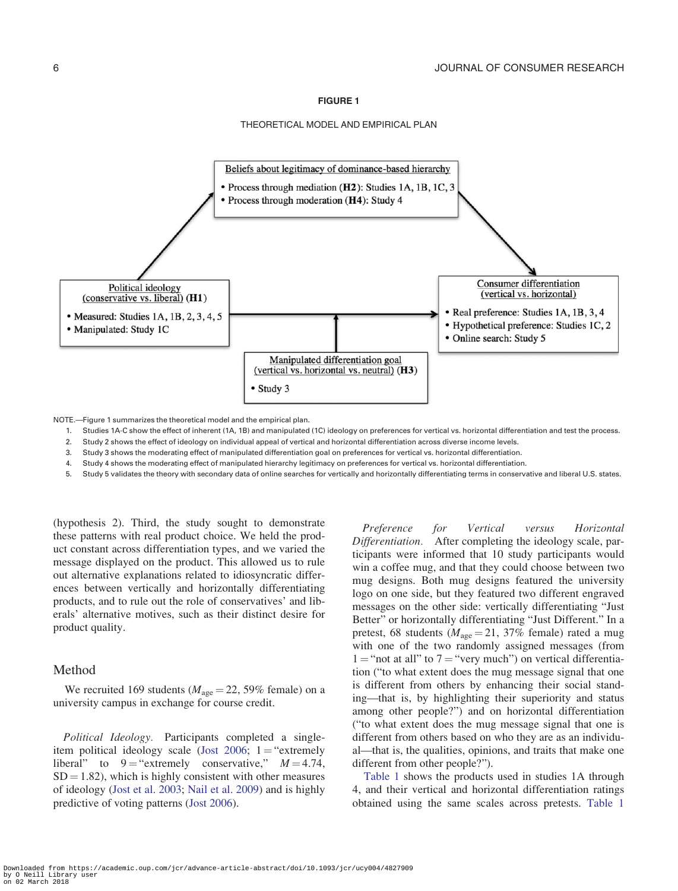#### FIGURE 1

THEORETICAL MODEL AND EMPIRICAL PLAN

<span id="page-5-0"></span>

NOTE.—Figure 1 summarizes the theoretical model and the empirical plan.

1. Studies 1A-C show the effect of inherent (1A, 1B) and manipulated (1C) ideology on preferences for vertical vs. horizontal differentiation and test the process.

2. Study 2 shows the effect of ideology on individual appeal of vertical and horizontal differentiation across diverse income levels.

3. Study 3 shows the moderating effect of manipulated differentiation goal on preferences for vertical vs. horizontal differentiation.

4. Study 4 shows the moderating effect of manipulated hierarchy legitimacy on preferences for vertical vs. horizontal differentiation.

5. Study 5 validates the theory with secondary data of online searches for vertically and horizontally differentiating terms in conservative and liberal U.S. states.

(hypothesis 2). Third, the study sought to demonstrate these patterns with real product choice. We held the product constant across differentiation types, and we varied the message displayed on the product. This allowed us to rule out alternative explanations related to idiosyncratic differences between vertically and horizontally differentiating products, and to rule out the role of conservatives' and liberals' alternative motives, such as their distinct desire for product quality.

## Method

We recruited 169 students ( $M_{\text{age}} = 22,59\%$  female) on a university campus in exchange for course credit.

Political Ideology. Participants completed a single-item political ideology scale [\(Jost 2006](#page-22-0);  $1 =$  "extremely" liberal" to  $9 =$ "extremely conservative,"  $M = 4.74$ ,  $SD = 1.82$ , which is highly consistent with other measures of ideology ([Jost et al. 2003;](#page-22-0) [Nail et al. 2009](#page-23-0)) and is highly predictive of voting patterns [\(Jost 2006](#page-22-0)).

Preference for Vertical versus Horizontal Differentiation. After completing the ideology scale, participants were informed that 10 study participants would win a coffee mug, and that they could choose between two mug designs. Both mug designs featured the university logo on one side, but they featured two different engraved messages on the other side: vertically differentiating "Just Better" or horizontally differentiating "Just Different." In a pretest, 68 students ( $M_{\text{age}} = 21$ , 37% female) rated a mug with one of the two randomly assigned messages (from  $1 =$ "not at all" to  $7 =$ "very much") on vertical differentiation ("to what extent does the mug message signal that one is different from others by enhancing their social standing—that is, by highlighting their superiority and status among other people?") and on horizontal differentiation ("to what extent does the mug message signal that one is different from others based on who they are as an individual—that is, the qualities, opinions, and traits that make one different from other people?").

[Table 1](#page-6-0) shows the products used in studies 1A through 4, and their vertical and horizontal differentiation ratings obtained using the same scales across pretests. [Table 1](#page-6-0)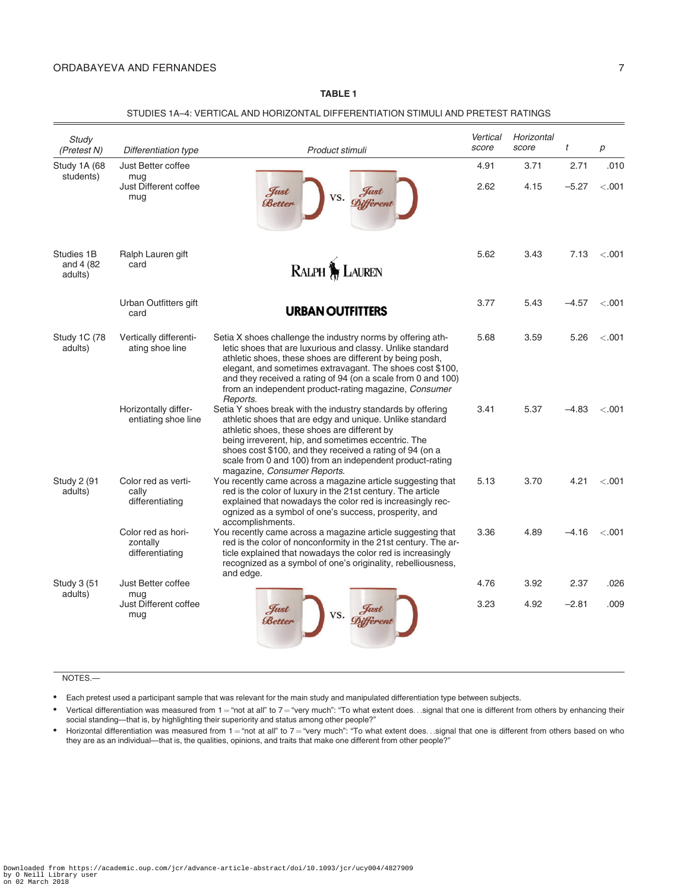## TABLE 1

| STUDIES 1A–4: VERTICAL AND HORIZONTAL DIFFERENTIATION STIMULI AND PRETEST RATINGS |  |  |  |  |
|-----------------------------------------------------------------------------------|--|--|--|--|
|-----------------------------------------------------------------------------------|--|--|--|--|

<span id="page-6-0"></span>

| Study<br>(Pretest N)                | Differentiation type                              | Product stimuli                                                                                                                                                                                                                                                                                                                                                                         | Vertical<br>score | Horizontal<br>score | t       | $\boldsymbol{p}$ |
|-------------------------------------|---------------------------------------------------|-----------------------------------------------------------------------------------------------------------------------------------------------------------------------------------------------------------------------------------------------------------------------------------------------------------------------------------------------------------------------------------------|-------------------|---------------------|---------|------------------|
| Study 1A (68                        | Just Better coffee                                |                                                                                                                                                                                                                                                                                                                                                                                         | 4.91              | 3.71                | 2.71    | .010             |
| students)                           | mug<br>Just Different coffee<br>mug               | Just<br>Just<br>VS.<br><b>Better</b><br><b>Different</b>                                                                                                                                                                                                                                                                                                                                | 2.62              | 4.15                | $-5.27$ | < .001           |
| Studies 1B<br>and 4 (82)<br>adults) | Ralph Lauren gift<br>card                         | RALPH <b>M</b> LAUREN                                                                                                                                                                                                                                                                                                                                                                   | 5.62              | 3.43                | 7.13    | $-.001$          |
|                                     | Urban Outfitters gift<br>card                     | <b>URBAN OUTFITTERS</b>                                                                                                                                                                                                                                                                                                                                                                 | 3.77              | 5.43                | $-4.57$ | $-.001$          |
| <b>Study 1C (78)</b><br>adults)     | Vertically differenti-<br>ating shoe line         | Setia X shoes challenge the industry norms by offering ath-<br>letic shoes that are luxurious and classy. Unlike standard<br>athletic shoes, these shoes are different by being posh,<br>elegant, and sometimes extravagant. The shoes cost \$100,<br>and they received a rating of 94 (on a scale from 0 and 100)<br>from an independent product-rating magazine, Consumer<br>Reports. | 5.68              | 3.59                | 5.26    | $-.001$          |
|                                     | Horizontally differ-<br>entiating shoe line       | Setia Y shoes break with the industry standards by offering<br>athletic shoes that are edgy and unique. Unlike standard<br>athletic shoes, these shoes are different by<br>being irreverent, hip, and sometimes eccentric. The<br>shoes cost \$100, and they received a rating of 94 (on a<br>scale from 0 and 100) from an independent product-rating<br>magazine, Consumer Reports.   | 3.41              | 5.37                | $-4.83$ | $-.001$          |
| <b>Study 2 (91)</b><br>adults)      | Color red as verti-<br>cally<br>differentiating   | You recently came across a magazine article suggesting that<br>red is the color of luxury in the 21st century. The article<br>explained that nowadays the color red is increasingly rec-<br>ognized as a symbol of one's success, prosperity, and<br>accomplishments.                                                                                                                   | 5.13              | 3.70                | 4.21    | $-.001$          |
|                                     | Color red as hori-<br>zontally<br>differentiating | You recently came across a magazine article suggesting that<br>red is the color of nonconformity in the 21st century. The ar-<br>ticle explained that nowadays the color red is increasingly<br>recognized as a symbol of one's originality, rebelliousness,<br>and edge.                                                                                                               | 3.36              | 4.89                | $-4.16$ | < .001           |
| <b>Study 3 (51)</b>                 | Just Better coffee                                |                                                                                                                                                                                                                                                                                                                                                                                         | 4.76              | 3.92                | 2.37    | .026             |
| adults)                             | mug<br>Just Different coffee<br>mug               | Just<br>Just<br>VS.<br>Better                                                                                                                                                                                                                                                                                                                                                           | 3.23              | 4.92                | $-2.81$ | .009             |

NOTES.—

• Each pretest used a participant sample that was relevant for the main study and manipulated differentiation type between subjects.

- Vertical differentiation was measured from 1 = "not at all" to 7 = "very much": "To what extent does...signal that one is different from others by enhancing their social standing—that is, by highlighting their superiority and status among other people?"
- Horizontal differentiation was measured from 1 = "not at all" to 7 = "very much": "To what extent does. . signal that one is different from others based on who they are as an individual—that is, the qualities, opinions, and traits that make one different from other people?"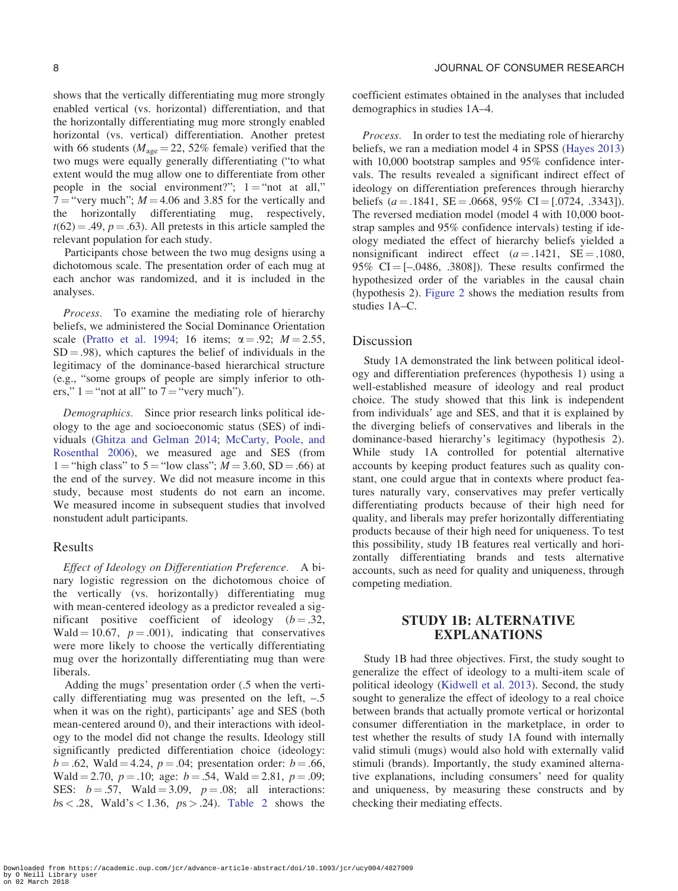shows that the vertically differentiating mug more strongly enabled vertical (vs. horizontal) differentiation, and that the horizontally differentiating mug more strongly enabled horizontal (vs. vertical) differentiation. Another pretest with 66 students ( $M_{\text{age}} = 22$ , 52% female) verified that the two mugs were equally generally differentiating ("to what extent would the mug allow one to differentiate from other people in the social environment?";  $1 = \text{``not at all,'}$  $7 =$  "very much";  $M = 4.06$  and 3.85 for the vertically and the horizontally differentiating mug, respectively,  $t(62) = .49, p = .63$ . All pretests in this article sampled the relevant population for each study.

Participants chose between the two mug designs using a dichotomous scale. The presentation order of each mug at each anchor was randomized, and it is included in the analyses.

Process. To examine the mediating role of hierarchy beliefs, we administered the Social Dominance Orientation scale ([Pratto et al. 1994](#page-23-0); 16 items;  $\alpha = .92$ ;  $M = 2.55$ ,  $SD = .98$ ), which captures the belief of individuals in the legitimacy of the dominance-based hierarchical structure (e.g., "some groups of people are simply inferior to others,"  $1 =$ "not at all" to  $7 =$ "very much").

Demographics. Since prior research links political ideology to the age and socioeconomic status (SES) of individuals ([Ghitza and Gelman 2014;](#page-22-0) [McCarty, Poole, and](#page-23-0) [Rosenthal 2006\)](#page-23-0), we measured age and SES (from 1 = "high class" to 5 = "low class";  $M = 3.60$ , SD = .66) at the end of the survey. We did not measure income in this study, because most students do not earn an income. We measured income in subsequent studies that involved nonstudent adult participants.

## Results

Effect of Ideology on Differentiation Preference. A binary logistic regression on the dichotomous choice of the vertically (vs. horizontally) differentiating mug with mean-centered ideology as a predictor revealed a significant positive coefficient of ideology  $(b=.32)$ , Wald  $= 10.67$ ,  $p = .001$ ), indicating that conservatives were more likely to choose the vertically differentiating mug over the horizontally differentiating mug than were liberals.

Adding the mugs' presentation order (.5 when the vertically differentiating mug was presented on the left, –.5 when it was on the right), participants' age and SES (both mean-centered around 0), and their interactions with ideology to the model did not change the results. Ideology still significantly predicted differentiation choice (ideology:  $b = .62$ , Wald = 4.24,  $p = .04$ ; presentation order:  $b = .66$ , Wald = 2.70,  $p = .10$ ; age:  $b = .54$ , Wald = 2.81,  $p = .09$ ; SES:  $b = .57$ , Wald = 3.09,  $p = .08$ ; all interactions:  $bs < .28$ , Wald's  $< 1.36$ ,  $ps > .24$ ). [Table 2](#page-8-0) shows the

coefficient estimates obtained in the analyses that included demographics in studies 1A–4.

Process. In order to test the mediating role of hierarchy beliefs, we ran a mediation model 4 in SPSS [\(Hayes 2013](#page-22-0)) with 10,000 bootstrap samples and 95% confidence intervals. The results revealed a significant indirect effect of ideology on differentiation preferences through hierarchy beliefs (a = .1841, SE = .0668, 95% CI = [.0724, .3343]). The reversed mediation model (model 4 with 10,000 bootstrap samples and 95% confidence intervals) testing if ideology mediated the effect of hierarchy beliefs yielded a nonsignificant indirect effect  $(a = .1421, \text{ SE} = .1080,$ 95% CI  $= [-0.0486, .3808]$ . These results confirmed the hypothesized order of the variables in the causal chain (hypothesis 2). [Figure 2](#page-9-0) shows the mediation results from studies 1A–C.

#### Discussion

Study 1A demonstrated the link between political ideology and differentiation preferences (hypothesis 1) using a well-established measure of ideology and real product choice. The study showed that this link is independent from individuals' age and SES, and that it is explained by the diverging beliefs of conservatives and liberals in the dominance-based hierarchy's legitimacy (hypothesis 2). While study 1A controlled for potential alternative accounts by keeping product features such as quality constant, one could argue that in contexts where product features naturally vary, conservatives may prefer vertically differentiating products because of their high need for quality, and liberals may prefer horizontally differentiating products because of their high need for uniqueness. To test this possibility, study 1B features real vertically and horizontally differentiating brands and tests alternative accounts, such as need for quality and uniqueness, through competing mediation.

## STUDY 1B: ALTERNATIVE EXPLANATIONS

Study 1B had three objectives. First, the study sought to generalize the effect of ideology to a multi-item scale of political ideology ([Kidwell et al. 2013\)](#page-22-0). Second, the study sought to generalize the effect of ideology to a real choice between brands that actually promote vertical or horizontal consumer differentiation in the marketplace, in order to test whether the results of study 1A found with internally valid stimuli (mugs) would also hold with externally valid stimuli (brands). Importantly, the study examined alternative explanations, including consumers' need for quality and uniqueness, by measuring these constructs and by checking their mediating effects.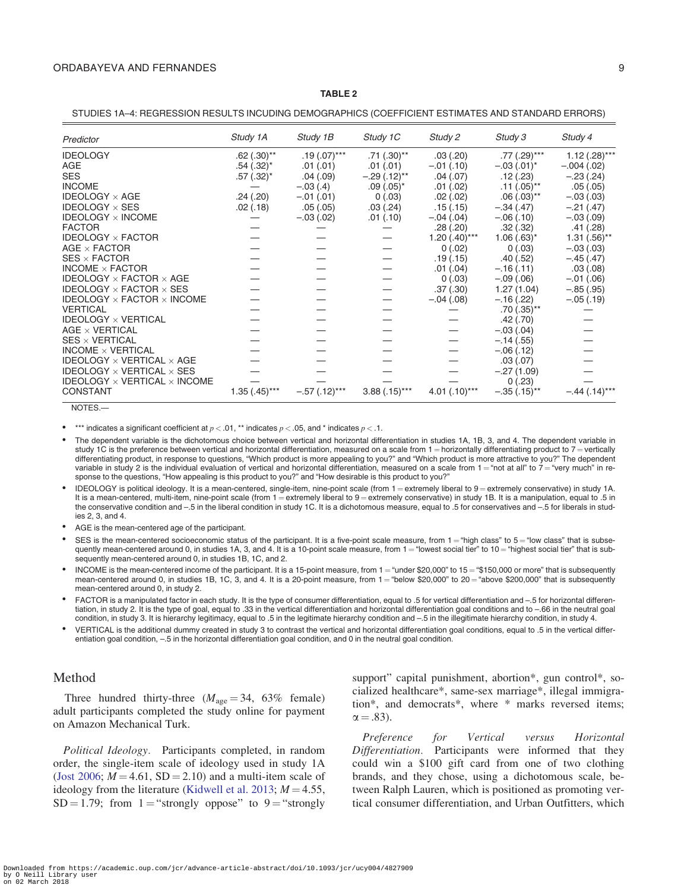#### TABLE 2

<span id="page-8-0"></span>STUDIES 1A–4: REGRESSION RESULTS INCUDING DEMOGRAPHICS (COEFFICIENT ESTIMATES AND STANDARD ERRORS)

| Predictor                                                            | Study 1A         | Study 1B       | Study 1C       | Study 2         | Study 3           | Study 4                   |
|----------------------------------------------------------------------|------------------|----------------|----------------|-----------------|-------------------|---------------------------|
| <b>IDEOLOGY</b>                                                      | $.62$ $(.30)$ ** | $.19(.07)***$  | $.71(.30)$ **  | .03(.20)        | $.77$ $(.29)$ *** | $1.12(.28)***$            |
| AGE                                                                  | $.54(.32)^*$     | .01(.01)       | .01(.01)       | $-.01(.10)$     | $-.03(.01)^*$     | $-.004(.02)$              |
| <b>SES</b>                                                           | $.57(.32)^*$     | .04(.09)       | $-.29(.12)$ ** | .04(.07)        | .12 (.23)         | $-.23(.24)$               |
| <b>INCOME</b>                                                        |                  | $-.03(.4)$     | $.09(.05)^*$   | .01(.02)        | $.11(.05)$ **     | .05(.05)                  |
| IDEOLOGY $\times$ AGE                                                | .24(.20)         | $-.01(.01)$    | 0(.03)         | .02(.02)        | $.06(.03)$ **     | $-.03(.03)$               |
| IDEOLOGY $\times$ SES                                                | .02(.18)         | .05(.05)       | .03(.24)       | .15(.15)        | $-.34(.47)$       | $-.21(.47)$               |
| IDEOLOGY $\times$ INCOME                                             |                  | $-.03(.02)$    | .01(.10)       | $-.04(.04)$     | $-.06(.10)$       | $-.03(.09)$               |
| <b>FACTOR</b>                                                        |                  |                |                | .28(.20)        | .32 (.32)         | .41 (.28)                 |
| IDEOLOGY $\times$ FACTOR                                             |                  |                |                | $1.20(.40)$ *** | $1.06(.63)^{*}$   | $1.31(.56)$ <sup>**</sup> |
| $AGE \times FACTOR$                                                  |                  |                |                | 0(.02)          | 0(.03)            | $-.03(.03)$               |
| $SES \times FACTOR$                                                  |                  |                |                | .19(0.15)       | .40(.52)          | $-.45(.47)$               |
| INCOME $\times$ FACTOR                                               |                  |                |                | .01(.04)        | $-.16(.11)$       | .03(.08)                  |
| IDEOLOGY $\times$ FACTOR $\times$ AGE                                |                  |                |                | 0(.03)          | $-.09(.06)$       | $-.01(.06)$               |
| IDEOLOGY $\times$ FACTOR $\times$ SES                                |                  |                |                | .37(.30)        | 1.27(1.04)        | $-.85(.95)$               |
| IDEOLOGY $\times$ FACTOR $\times$ INCOME                             |                  |                |                | $-.04(.08)$     | $-.16(.22)$       | $-.05(.19)$               |
| <b>VERTICAL</b>                                                      |                  |                |                |                 | $.70(.35)$ **     |                           |
| <b>IDEOLOGY × VERTICAL</b>                                           |                  |                |                |                 | .42 (.70)         |                           |
| $AGE \times VERTICAL$                                                |                  |                |                |                 | $-.03(.04)$       |                           |
| $SES \times VERTICAL$                                                |                  |                |                |                 | $-.14(.55)$       |                           |
| INCOME $\times$ VERTICAL                                             |                  |                |                |                 | $-.06(.12)$       |                           |
| IDEOLOGY $\times$ VERTICAL $\times$ AGE                              |                  |                |                |                 | .03(0.07)         |                           |
| <b>IDEOLOGY <math>\times</math> VERTICAL <math>\times</math> SES</b> |                  |                |                |                 | $-.27(1.09)$      |                           |
| IDEOLOGY $\times$ VERTICAL $\times$ INCOME                           |                  |                |                |                 | 0(.23)            |                           |
| <b>CONSTANT</b>                                                      | $1.35(.45)***$   | $-.57(.12)***$ | $3.88(.15)***$ | $4.01(.10)***$  | $-.35(.15)$ **    | $-.44(.14)***$            |

NOTES.—

\*\*\* indicates a significant coefficient at  $p < .01$ , \*\* indicates  $p < .05$ , and \* indicates  $p < .1$ .

• The dependent variable is the dichotomous choice between vertical and horizontal differentiation in studies 1A, 1B, 3, and 4. The dependent variable in study 1C is the preference between vertical and horizontal differentiation, measured on a scale from  $1 =$  horizontally differentiating product to  $7 =$  vertically differentiating product, in response to questions, "Which product is more appealing to you?" and "Which product is more attractive to you?" The dependent variable in study 2 is the individual evaluation of vertical and horizontal differentiation, measured on a scale from 1 = "not at all" to 7 = "very much" in response to the questions, "How appealing is this product to you?" and "How desirable is this product to you?"

IDEOLOGY is political ideology. It is a mean-centered, single-item, nine-point scale (from 1 = extremely liberal to 9 = extremely conservative) in study 1A. It is a mean-centered, multi-item, nine-point scale (from  $1 =$  extremely liberal to  $9 =$  extremely conservative) in study 1B. It is a manipulation, equal to .5 in the conservative condition and –.5 in the liberal condition in study 1C. It is a dichotomous measure, equal to .5 for conservatives and –.5 for liberals in studies 2, 3, and 4.

AGE is the mean-centered age of the participant.

SES is the mean-centered socioeconomic status of the participant. It is a five-point scale measure, from  $1 =$ "high class" to  $5 =$ "low class" that is subsequently mean-centered around 0, in studies 1A, 3, and 4. It is a 10-point scale measure, from  $1 =$  "lowest social tier" to 10 = "highest social tier" that is subsequently mean-centered around 0, in studies 1B, 1C, and 2.

INCOME is the mean-centered income of the participant. It is a 15-point measure, from  $1 = "under $20,000"$  to  $15 = $150,000$  or more" that is subsequently mean-centered around 0, in studies 1B, 1C, 3, and 4. It is a 20-point measure, from  $1 =$  "below \$20,000" to 20 $=$  "above \$200,000" that is subsequently mean-centered around 0, in study 2.

• FACTOR is a manipulated factor in each study. It is the type of consumer differentiation, equal to .5 for vertical differentiation and –.5 for horizontal differentiation, in study 2. It is the type of goal, equal to .33 in the vertical differentiation and horizontal differentiation goal conditions and to –.66 in the neutral goal condition, in study 3. It is hierarchy legitimacy, equal to .5 in the legitimate hierarchy condition and –.5 in the illegitimate hierarchy condition, in study 4.

• VERTICAL is the additional dummy created in study 3 to contrast the vertical and horizontal differentiation goal conditions, equal to .5 in the vertical differentiation goal condition, -.5 in the horizontal differentiation goal condition, and 0 in the neutral goal condition.

## Method

Three hundred thirty-three  $(M_{\text{age}} = 34, 63\%$  female) adult participants completed the study online for payment on Amazon Mechanical Turk.

Political Ideology. Participants completed, in random order, the single-item scale of ideology used in study 1A [\(Jost 2006;](#page-22-0)  $M = 4.61$ , SD = 2.10) and a multi-item scale of ideology from the literature ([Kidwell et al. 2013;](#page-22-0)  $M = 4.55$ ,  $SD = 1.79$ ; from  $1 =$  "strongly oppose" to  $9 =$  "strongly

support" capital punishment, abortion\*, gun control\*, socialized healthcare\*, same-sex marriage\*, illegal immigration\*, and democrats\*, where \* marks reversed items;  $\alpha = .83$ ).

Preference for Vertical versus Horizontal Differentiation. Participants were informed that they could win a \$100 gift card from one of two clothing brands, and they chose, using a dichotomous scale, between Ralph Lauren, which is positioned as promoting vertical consumer differentiation, and Urban Outfitters, which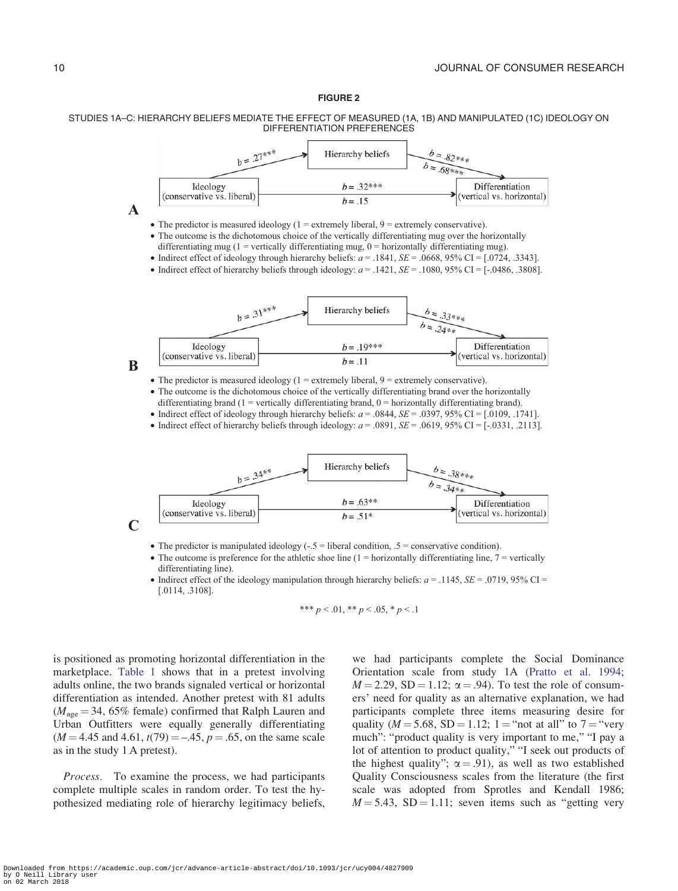#### FIGURE 2

#### <span id="page-9-0"></span>STUDIES 1A–C: HIERARCHY BELIEFS MEDIATE THE EFFECT OF MEASURED (1A, 1B) AND MANIPULATED (1C) IDEOLOGY ON DIFFERENTIATION PREFERENCES



- The outcome is preference for the athletic shoe line (1 = horizontally differentiating line,  $7$  = vertically differentiating line).
- Indirect effect of the ideology manipulation through hierarchy beliefs:  $a = .1145$ ,  $SE = .0719$ , 95% CI [.0114, .3108].

$$
*** p < .01, ** p < .05, * p < .1
$$

is positioned as promoting horizontal differentiation in the marketplace. [Table 1](#page-6-0) shows that in a pretest involving adults online, the two brands signaled vertical or horizontal differentiation as intended. Another pretest with 81 adults  $(M<sub>age</sub> = 34, 65\%$  female) confirmed that Ralph Lauren and Urban Outfitters were equally generally differentiating  $(M = 4.45$  and  $4.61$ ,  $t(79) = -.45$ ,  $p = .65$ , on the same scale as in the study 1 A pretest).

Process. To examine the process, we had participants complete multiple scales in random order. To test the hypothesized mediating role of hierarchy legitimacy beliefs, we had participants complete the Social Dominance Orientation scale from study 1A ([Pratto et al. 1994;](#page-23-0)  $M = 2.29$ , SD = 1.12;  $\alpha = .94$ ). To test the role of consumers' need for quality as an alternative explanation, we had participants complete three items measuring desire for quality ( $M = 5.68$ , SD = 1.12; 1 = "not at all" to 7 = "very much": "product quality is very important to me," "I pay a lot of attention to product quality," "I seek out products of the highest quality";  $\alpha = .91$ ), as well as two established Quality Consciousness scales from the literature (the first scale was adopted from Sprotles and Kendall 1986;  $M = 5.43$ , SD = 1.11; seven items such as "getting very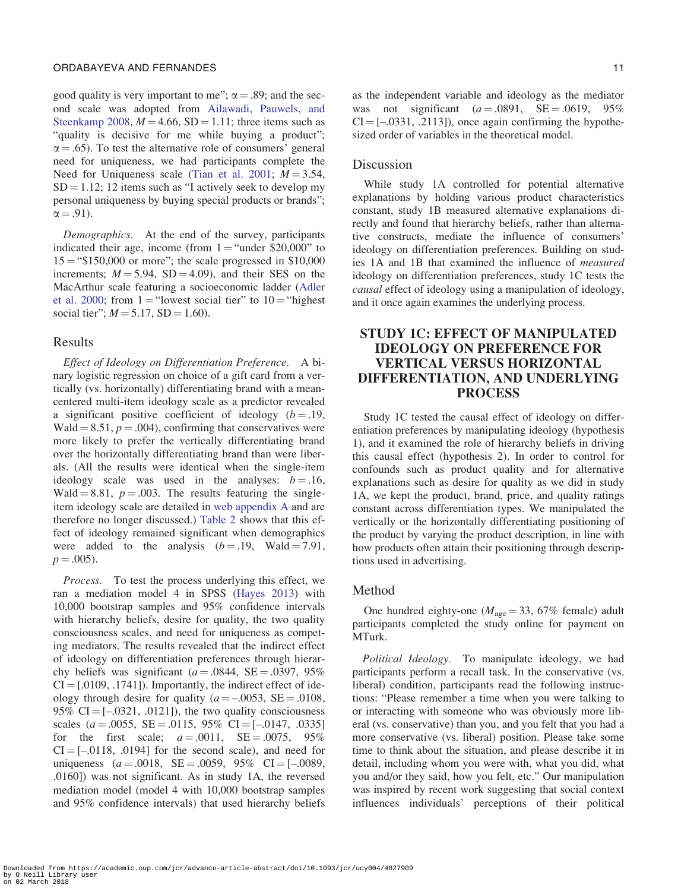good quality is very important to me";  $\alpha = .89$ ; and the second scale was adopted from [Ailawadi, Pauwels, and](#page-21-0) [Steenkamp 2008](#page-21-0),  $M = 4.66$ , SD = 1.11; three items such as "quality is decisive for me while buying a product";  $\alpha = .65$ ). To test the alternative role of consumers' general need for uniqueness, we had participants complete the Need for Uniqueness scale ([Tian et al. 2001;](#page-23-0)  $M = 3.54$ ,  $SD = 1.12$ ; 12 items such as "I actively seek to develop my personal uniqueness by buying special products or brands";  $\alpha = .91$ ).

Demographics. At the end of the survey, participants indicated their age, income (from  $1 =$  "under \$20,000" to  $15 =$  "\$150,000 or more"; the scale progressed in \$10,000 increments;  $M = 5.94$ , SD = 4.09), and their SES on the MacArthur scale featuring a socioeconomic ladder ([Adler](#page-21-0) [et al. 2000](#page-21-0); from  $1 =$  "lowest social tier" to  $10 =$  "highest" social tier";  $M = 5.17$ , SD = 1.60).

## Results

Effect of Ideology on Differentiation Preference. A binary logistic regression on choice of a gift card from a vertically (vs. horizontally) differentiating brand with a meancentered multi-item ideology scale as a predictor revealed a significant positive coefficient of ideology  $(b=.19, ...)$ Wald  $= 8.51, p = .004$ , confirming that conservatives were more likely to prefer the vertically differentiating brand over the horizontally differentiating brand than were liberals. (All the results were identical when the single-item ideology scale was used in the analyses:  $b = .16$ , Wald = 8.81,  $p = .003$ . The results featuring the singleitem ideology scale are detailed in [web appendix A](https://academic.oup.com/jcr/article-lookup/doi/10.1093/jcr/ucy004#supplementary-data) and are therefore no longer discussed.) [Table 2](#page-8-0) shows that this effect of ideology remained significant when demographics were added to the analysis  $(b=.19, \text{ Wald} = 7.91,$  $p = .005$ ).

Process. To test the process underlying this effect, we ran a mediation model 4 in SPSS ([Hayes 2013\)](#page-22-0) with 10,000 bootstrap samples and 95% confidence intervals with hierarchy beliefs, desire for quality, the two quality consciousness scales, and need for uniqueness as competing mediators. The results revealed that the indirect effect of ideology on differentiation preferences through hierarchy beliefs was significant ( $a = .0844$ , SE = .0397, 95%  $CI = [.0109, .1741]$ . Importantly, the indirect effect of ideology through desire for quality ( $a = -.0053$ ,  $SE = .0108$ , 95% CI  $=[-.0321, .0121]$ , the two quality consciousness scales ( $a = .0055$ ,  $SE = .0115$ ,  $95\%$  CI = [-.0147, .0335] for the first scale;  $a = .0011$ ,  $SE = .0075$ ,  $95\%$  $CI = [-0.0118, 0.0194]$  for the second scale), and need for uniqueness  $(a = .0018, \text{ SE} = .0059, 95\% \text{ CI} = [-.0089,$ .0160]) was not significant. As in study 1A, the reversed mediation model (model 4 with 10,000 bootstrap samples and 95% confidence intervals) that used hierarchy beliefs as the independent variable and ideology as the mediator was not significant  $(a = .0891, \text{ } SE = .0619, \text{ } 95\%$  $CI = [-0331, 0.2113]$ , once again confirming the hypothesized order of variables in the theoretical model.

#### Discussion

While study 1A controlled for potential alternative explanations by holding various product characteristics constant, study 1B measured alternative explanations directly and found that hierarchy beliefs, rather than alternative constructs, mediate the influence of consumers' ideology on differentiation preferences. Building on studies 1A and 1B that examined the influence of measured ideology on differentiation preferences, study 1C tests the causal effect of ideology using a manipulation of ideology, and it once again examines the underlying process.

# STUDY 1C: EFFECT OF MANIPULATED IDEOLOGY ON PREFERENCE FOR VERTICAL VERSUS HORIZONTAL DIFFERENTIATION, AND UNDERLYING PROCESS

Study 1C tested the causal effect of ideology on differentiation preferences by manipulating ideology (hypothesis 1), and it examined the role of hierarchy beliefs in driving this causal effect (hypothesis 2). In order to control for confounds such as product quality and for alternative explanations such as desire for quality as we did in study 1A, we kept the product, brand, price, and quality ratings constant across differentiation types. We manipulated the vertically or the horizontally differentiating positioning of the product by varying the product description, in line with how products often attain their positioning through descriptions used in advertising.

#### Method

One hundred eighty-one ( $M_{\text{age}} = 33,67\%$  female) adult participants completed the study online for payment on MTurk.

Political Ideology. To manipulate ideology, we had participants perform a recall task. In the conservative (vs. liberal) condition, participants read the following instructions: "Please remember a time when you were talking to or interacting with someone who was obviously more liberal (vs. conservative) than you, and you felt that you had a more conservative (vs. liberal) position. Please take some time to think about the situation, and please describe it in detail, including whom you were with, what you did, what you and/or they said, how you felt, etc." Our manipulation was inspired by recent work suggesting that social context influences individuals' perceptions of their political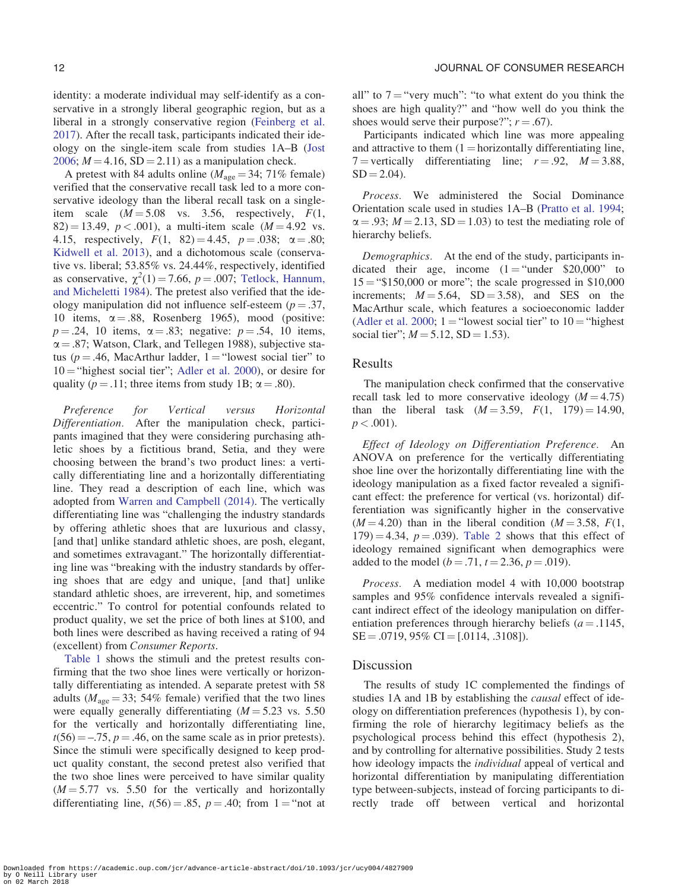identity: a moderate individual may self-identify as a conservative in a strongly liberal geographic region, but as a liberal in a strongly conservative region [\(Feinberg et al.](#page-22-0) [2017\)](#page-22-0). After the recall task, participants indicated their ideology on the single-item scale from studies 1A–B [\(Jost](#page-22-0) [2006;](#page-22-0)  $M = 4.16$ , SD = 2.11) as a manipulation check.

A pretest with 84 adults online ( $M_{\text{age}} = 34$ ; 71% female) verified that the conservative recall task led to a more conservative ideology than the liberal recall task on a singleitem scale  $(M = 5.08$  vs. 3.56, respectively,  $F(1,$ 82) = 13.49,  $p < .001$ , a multi-item scale ( $M = 4.92$  vs. 4.15, respectively,  $F(1, 82) = 4.45$ ,  $p = .038$ ;  $\alpha = .80$ ; [Kidwell et al. 2013\)](#page-22-0), and a dichotomous scale (conservative vs. liberal; 53.85% vs. 24.44%, respectively, identified as conservative,  $\chi^2(1) = 7.66$ ,  $p = .007$ ; [Tetlock, Hannum,](#page-23-0) [and Micheletti 1984](#page-23-0)). The pretest also verified that the ideology manipulation did not influence self-esteem ( $p = .37$ , 10 items,  $\alpha = .88$ , Rosenberg 1965), mood (positive:  $p = .24$ , 10 items,  $\alpha = .83$ ; negative:  $p = .54$ , 10 items,  $\alpha = .87$ ; Watson, Clark, and Tellegen 1988), subjective status ( $p = .46$ , MacArthur ladder, 1 = "lowest social tier" to  $10 =$  "highest social tier"; [Adler et al. 2000\)](#page-21-0), or desire for quality ( $p = .11$ ; three items from study 1B;  $\alpha = .80$ ).

Preference for Vertical versus Horizontal Differentiation. After the manipulation check, participants imagined that they were considering purchasing athletic shoes by a fictitious brand, Setia, and they were choosing between the brand's two product lines: a vertically differentiating line and a horizontally differentiating line. They read a description of each line, which was adopted from [Warren and Campbell \(2014\)](#page-23-0). The vertically differentiating line was "challenging the industry standards by offering athletic shoes that are luxurious and classy, [and that] unlike standard athletic shoes, are posh, elegant, and sometimes extravagant." The horizontally differentiating line was "breaking with the industry standards by offering shoes that are edgy and unique, [and that] unlike standard athletic shoes, are irreverent, hip, and sometimes eccentric." To control for potential confounds related to product quality, we set the price of both lines at \$100, and both lines were described as having received a rating of 94 (excellent) from Consumer Reports.

[Table 1](#page-6-0) shows the stimuli and the pretest results confirming that the two shoe lines were vertically or horizontally differentiating as intended. A separate pretest with 58 adults ( $M_{\text{age}} = 33$ ; 54% female) verified that the two lines were equally generally differentiating  $(M = 5.23$  vs. 5.50 for the vertically and horizontally differentiating line,  $t(56) = -.75$ ,  $p = .46$ , on the same scale as in prior pretests). Since the stimuli were specifically designed to keep product quality constant, the second pretest also verified that the two shoe lines were perceived to have similar quality  $(M = 5.77$  vs. 5.50 for the vertically and horizontally differentiating line,  $t(56) = .85$ ,  $p = .40$ ; from 1 = "not at all" to  $7 =$ "very much": "to what extent do you think the shoes are high quality?" and "how well do you think the shoes would serve their purpose?";  $r = .67$ ).

Participants indicated which line was more appealing and attractive to them  $(1 =$  horizontally differentiating line, 7 = vertically differentiating line;  $r = .92$ ,  $M = 3.88$ ,  $SD = 2.04$ ).

Process. We administered the Social Dominance Orientation scale used in studies 1A–B [\(Pratto et al. 1994;](#page-23-0)  $\alpha = .93$ ;  $M = 2.13$ , SD = 1.03) to test the mediating role of hierarchy beliefs.

Demographics. At the end of the study, participants indicated their age, income  $(1 = "under $20,000"$  to  $15 =$  "\$150,000 or more"; the scale progressed in \$10,000 increments;  $M = 5.64$ ,  $SD = 3.58$ ), and SES on the MacArthur scale, which features a socioeconomic ladder ([Adler et al. 2000](#page-21-0);  $1 =$  "lowest social tier" to  $10 =$  "highest" social tier";  $M = 5.12$ , SD = 1.53).

#### Results

The manipulation check confirmed that the conservative recall task led to more conservative ideology  $(M = 4.75)$ than the liberal task  $(M = 3.59, F(1, 179) = 14.90,$  $p < .001$ ).

Effect of Ideology on Differentiation Preference. An ANOVA on preference for the vertically differentiating shoe line over the horizontally differentiating line with the ideology manipulation as a fixed factor revealed a significant effect: the preference for vertical (vs. horizontal) differentiation was significantly higher in the conservative  $(M = 4.20)$  than in the liberal condition  $(M = 3.58, F(1,$  $179$ ) = 4.34,  $p = .039$ ). [Table 2](#page-8-0) shows that this effect of ideology remained significant when demographics were added to the model ( $b = .71$ ,  $t = 2.36$ ,  $p = .019$ ).

Process. A mediation model 4 with 10,000 bootstrap samples and 95% confidence intervals revealed a significant indirect effect of the ideology manipulation on differentiation preferences through hierarchy beliefs ( $a = .1145$ ,  $SE = .0719, 95\% \text{ CI} = [.0114, .3108]$ .

#### **Discussion**

The results of study 1C complemented the findings of studies 1A and 1B by establishing the causal effect of ideology on differentiation preferences (hypothesis 1), by confirming the role of hierarchy legitimacy beliefs as the psychological process behind this effect (hypothesis 2), and by controlling for alternative possibilities. Study 2 tests how ideology impacts the *individual* appeal of vertical and horizontal differentiation by manipulating differentiation type between-subjects, instead of forcing participants to directly trade off between vertical and horizontal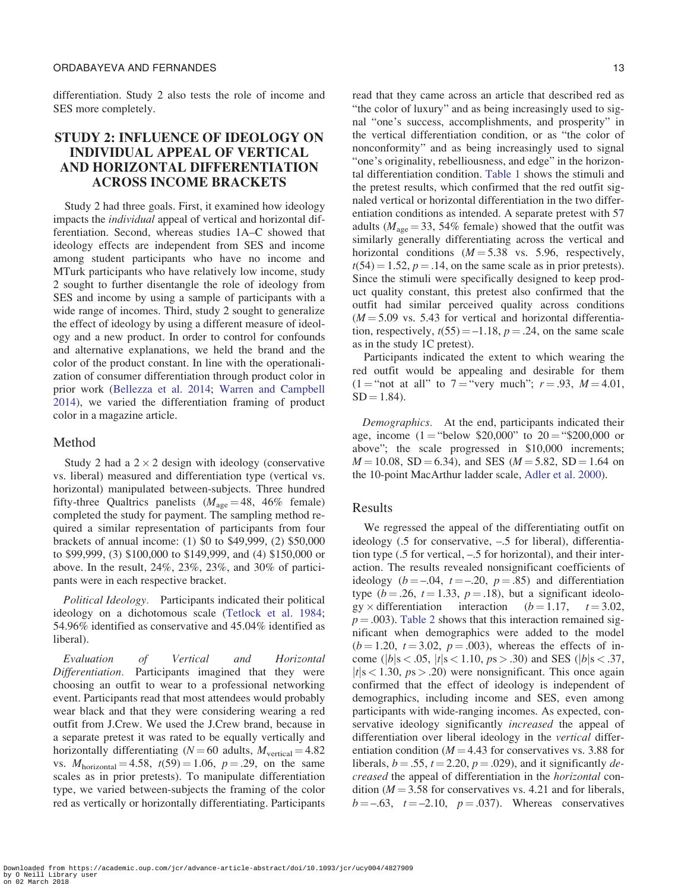differentiation. Study 2 also tests the role of income and SES more completely.

# STUDY 2: INFLUENCE OF IDEOLOGY ON INDIVIDUAL APPEAL OF VERTICAL AND HORIZONTAL DIFFERENTIATION ACROSS INCOME BRACKETS

Study 2 had three goals. First, it examined how ideology impacts the individual appeal of vertical and horizontal differentiation. Second, whereas studies 1A–C showed that ideology effects are independent from SES and income among student participants who have no income and MTurk participants who have relatively low income, study 2 sought to further disentangle the role of ideology from SES and income by using a sample of participants with a wide range of incomes. Third, study 2 sought to generalize the effect of ideology by using a different measure of ideology and a new product. In order to control for confounds and alternative explanations, we held the brand and the color of the product constant. In line with the operationalization of consumer differentiation through product color in prior work [\(Bellezza et al. 2014](#page-21-0); [Warren and Campbell](#page-23-0) [2014\)](#page-23-0), we varied the differentiation framing of product color in a magazine article.

#### Method

Study 2 had a  $2 \times 2$  design with ideology (conservative vs. liberal) measured and differentiation type (vertical vs. horizontal) manipulated between-subjects. Three hundred fifty-three Qualtrics panelists ( $M_{\text{age}} = 48$ , 46% female) completed the study for payment. The sampling method required a similar representation of participants from four brackets of annual income: (1) \$0 to \$49,999, (2) \$50,000 to \$99,999, (3) \$100,000 to \$149,999, and (4) \$150,000 or above. In the result, 24%, 23%, 23%, and 30% of participants were in each respective bracket.

Political Ideology. Participants indicated their political ideology on a dichotomous scale ([Tetlock et al. 1984;](#page-23-0) 54.96% identified as conservative and 45.04% identified as liberal).

Evaluation of Vertical and Horizontal Differentiation. Participants imagined that they were choosing an outfit to wear to a professional networking event. Participants read that most attendees would probably wear black and that they were considering wearing a red outfit from J.Crew. We used the J.Crew brand, because in a separate pretest it was rated to be equally vertically and horizontally differentiating ( $N = 60$  adults,  $M_{vertical} = 4.82$ vs.  $M_{\text{horizontal}} = 4.58$ ,  $t(59) = 1.06$ ,  $p = .29$ , on the same scales as in prior pretests). To manipulate differentiation type, we varied between-subjects the framing of the color red as vertically or horizontally differentiating. Participants read that they came across an article that described red as "the color of luxury" and as being increasingly used to signal "one's success, accomplishments, and prosperity" in the vertical differentiation condition, or as "the color of nonconformity" and as being increasingly used to signal "one's originality, rebelliousness, and edge" in the horizontal differentiation condition. [Table 1](#page-6-0) shows the stimuli and the pretest results, which confirmed that the red outfit signaled vertical or horizontal differentiation in the two differentiation conditions as intended. A separate pretest with 57 adults ( $M_{\text{age}} = 33,54\%$  female) showed that the outfit was similarly generally differentiating across the vertical and horizontal conditions  $(M = 5.38$  vs. 5.96, respectively,  $t(54) = 1.52$ ,  $p = .14$ , on the same scale as in prior pretests). Since the stimuli were specifically designed to keep product quality constant, this pretest also confirmed that the outfit had similar perceived quality across conditions  $(M = 5.09$  vs. 5.43 for vertical and horizontal differentiation, respectively,  $t(55) = -1.18$ ,  $p = .24$ , on the same scale as in the study 1C pretest).

Participants indicated the extent to which wearing the red outfit would be appealing and desirable for them (1 = "not at all" to 7 = "very much";  $r = .93$ ,  $M = 4.01$ ,  $SD = 1.84$ .

Demographics. At the end, participants indicated their age, income  $(1 = "below $20,000" to 20 = "$200,000 or$ above"; the scale progressed in \$10,000 increments;  $M = 10.08$ , SD = 6.34), and SES ( $M = 5.82$ , SD = 1.64 on the 10-point MacArthur ladder scale, [Adler et al. 2000](#page-21-0)).

## Results

We regressed the appeal of the differentiating outfit on ideology (.5 for conservative, –.5 for liberal), differentiation type (.5 for vertical, –.5 for horizontal), and their interaction. The results revealed nonsignificant coefficients of ideology ( $b = -.04$ ,  $t = -.20$ ,  $p = .85$ ) and differentiation type ( $b = .26$ ,  $t = 1.33$ ,  $p = .18$ ), but a significant ideolo $gy \times$  differentiation interaction  $(b = 1.17, t = 3.02,$  $p = .003$ ). [Table 2](#page-8-0) shows that this interaction remained significant when demographics were added to the model  $(b = 1.20, t = 3.02, p = .003)$ , whereas the effects of income ( $|b|s < .05$ ,  $|t|s < 1.10$ ,  $p s > .30$ ) and SES ( $|b|s < .37$ ,  $|t|$ s < 1.30,  $p s$  > .20) were nonsignificant. This once again confirmed that the effect of ideology is independent of demographics, including income and SES, even among participants with wide-ranging incomes. As expected, conservative ideology significantly increased the appeal of differentiation over liberal ideology in the vertical differentiation condition ( $M = 4.43$  for conservatives vs. 3.88 for liberals,  $b = .55$ ,  $t = 2.20$ ,  $p = .029$ ), and it significantly decreased the appeal of differentiation in the horizontal condition ( $M = 3.58$  for conservatives vs. 4.21 and for liberals,  $b = -.63$ ,  $t = -2.10$ ,  $p = .037$ ). Whereas conservatives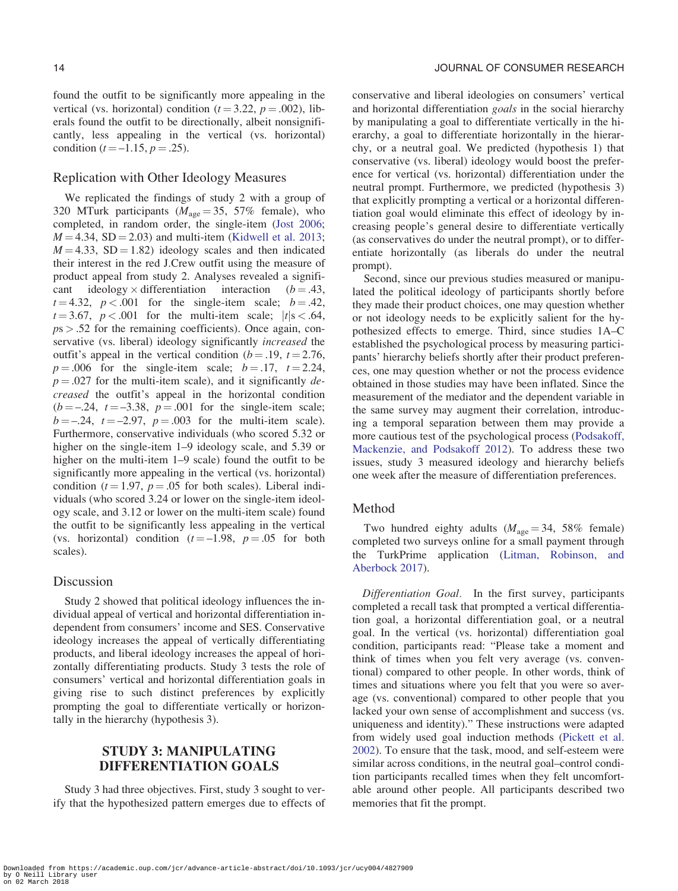found the outfit to be significantly more appealing in the vertical (vs. horizontal) condition ( $t = 3.22$ ,  $p = .002$ ), liberals found the outfit to be directionally, albeit nonsignificantly, less appealing in the vertical (vs. horizontal) condition ( $t = -1.15$ ,  $p = .25$ ).

## Replication with Other Ideology Measures

We replicated the findings of study 2 with a group of 320 MTurk participants ( $M_{\text{age}} = 35$ , 57% female), who completed, in random order, the single-item ([Jost 2006;](#page-22-0)  $M = 4.34$ , SD = 2.03) and multi-item ([Kidwell et al. 2013;](#page-22-0)  $M = 4.33$ , SD = 1.82) ideology scales and then indicated their interest in the red J.Crew outfit using the measure of product appeal from study 2. Analyses revealed a significant ideology  $\times$  differentiation interaction ( $b = .43$ ,  $t = 4.32$ ,  $p < .001$  for the single-item scale;  $b = .42$ ,  $t = 3.67$ ,  $p < .001$  for the multi-item scale;  $|t|$ s < .64,  $ps > .52$  for the remaining coefficients). Once again, conservative (vs. liberal) ideology significantly increased the outfit's appeal in the vertical condition ( $b = .19$ ,  $t = 2.76$ ,  $p = .006$  for the single-item scale;  $b = .17$ ,  $t = 2.24$ ,  $p = .027$  for the multi-item scale), and it significantly *de*creased the outfit's appeal in the horizontal condition  $(b = -.24, t = -3.38, p = .001$  for the single-item scale;  $b = -0.24$ ,  $t = -2.97$ ,  $p = 0.003$  for the multi-item scale). Furthermore, conservative individuals (who scored 5.32 or higher on the single-item 1–9 ideology scale, and 5.39 or higher on the multi-item 1–9 scale) found the outfit to be significantly more appealing in the vertical (vs. horizontal) condition ( $t = 1.97$ ,  $p = .05$  for both scales). Liberal individuals (who scored 3.24 or lower on the single-item ideology scale, and 3.12 or lower on the multi-item scale) found the outfit to be significantly less appealing in the vertical (vs. horizontal) condition  $(t = -1.98, p = .05$  for both scales).

## Discussion

Study 2 showed that political ideology influences the individual appeal of vertical and horizontal differentiation independent from consumers' income and SES. Conservative ideology increases the appeal of vertically differentiating products, and liberal ideology increases the appeal of horizontally differentiating products. Study 3 tests the role of consumers' vertical and horizontal differentiation goals in giving rise to such distinct preferences by explicitly prompting the goal to differentiate vertically or horizontally in the hierarchy (hypothesis 3).

## STUDY 3: MANIPULATING DIFFERENTIATION GOALS

Study 3 had three objectives. First, study 3 sought to verify that the hypothesized pattern emerges due to effects of conservative and liberal ideologies on consumers' vertical and horizontal differentiation goals in the social hierarchy by manipulating a goal to differentiate vertically in the hierarchy, a goal to differentiate horizontally in the hierarchy, or a neutral goal. We predicted (hypothesis 1) that conservative (vs. liberal) ideology would boost the preference for vertical (vs. horizontal) differentiation under the neutral prompt. Furthermore, we predicted (hypothesis 3) that explicitly prompting a vertical or a horizontal differentiation goal would eliminate this effect of ideology by increasing people's general desire to differentiate vertically (as conservatives do under the neutral prompt), or to differentiate horizontally (as liberals do under the neutral prompt).

Second, since our previous studies measured or manipulated the political ideology of participants shortly before they made their product choices, one may question whether or not ideology needs to be explicitly salient for the hypothesized effects to emerge. Third, since studies 1A–C established the psychological process by measuring participants' hierarchy beliefs shortly after their product preferences, one may question whether or not the process evidence obtained in those studies may have been inflated. Since the measurement of the mediator and the dependent variable in the same survey may augment their correlation, introducing a temporal separation between them may provide a more cautious test of the psychological process [\(Podsakoff,](#page-23-0) [Mackenzie, and Podsakoff 2012](#page-23-0)). To address these two issues, study 3 measured ideology and hierarchy beliefs one week after the measure of differentiation preferences.

## Method

Two hundred eighty adults ( $M_{\text{age}} = 34$ , 58% female) completed two surveys online for a small payment through the TurkPrime application [\(Litman, Robinson, and](#page-22-0) [Aberbock 2017\)](#page-22-0).

Differentiation Goal. In the first survey, participants completed a recall task that prompted a vertical differentiation goal, a horizontal differentiation goal, or a neutral goal. In the vertical (vs. horizontal) differentiation goal condition, participants read: "Please take a moment and think of times when you felt very average (vs. conventional) compared to other people. In other words, think of times and situations where you felt that you were so average (vs. conventional) compared to other people that you lacked your own sense of accomplishment and success (vs. uniqueness and identity)." These instructions were adapted from widely used goal induction methods [\(Pickett et al.](#page-23-0) [2002\)](#page-23-0). To ensure that the task, mood, and self-esteem were similar across conditions, in the neutral goal–control condition participants recalled times when they felt uncomfortable around other people. All participants described two memories that fit the prompt.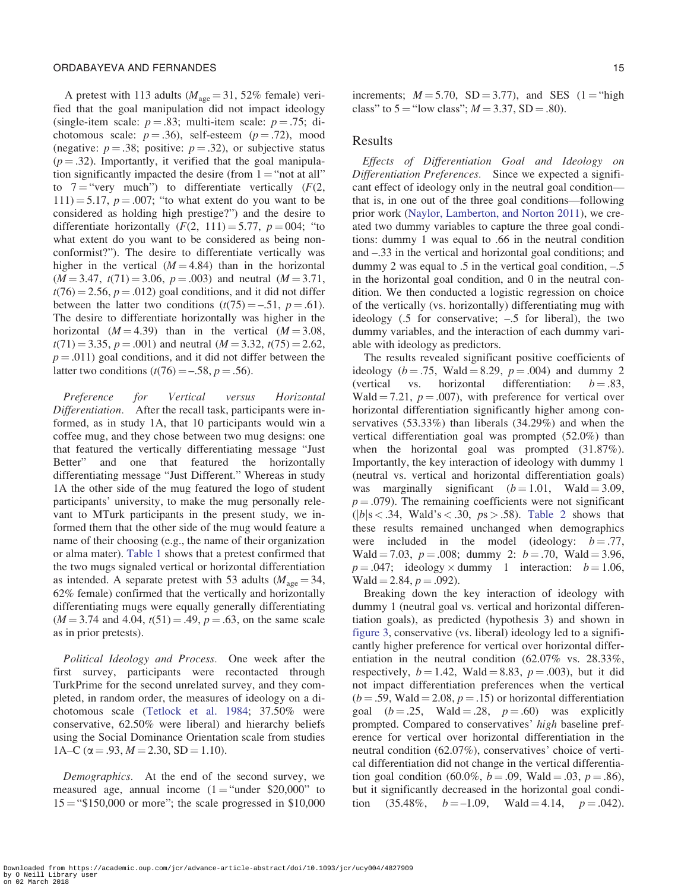A pretest with 113 adults ( $M_{\text{age}} = 31,52\%$  female) verified that the goal manipulation did not impact ideology (single-item scale:  $p = .83$ ; multi-item scale:  $p = .75$ ; dichotomous scale:  $p = .36$ , self-esteem ( $p = .72$ ), mood (negative:  $p = .38$ ; positive:  $p = .32$ ), or subjective status  $(p = .32)$ . Importantly, it verified that the goal manipulation significantly impacted the desire (from  $1 = "not at all"$ to  $7 =$  "very much") to differentiate vertically ( $F(2)$ ,  $111$ ) = 5.17,  $p = .007$ ; "to what extent do you want to be considered as holding high prestige?") and the desire to differentiate horizontally  $(F(2, 111) = 5.77, p = 004;$  "to what extent do you want to be considered as being nonconformist?"). The desire to differentiate vertically was higher in the vertical  $(M = 4.84)$  than in the horizontal  $(M = 3.47, t(71) = 3.06, p = .003)$  and neutral  $(M = 3.71,$  $t(76) = 2.56$ ,  $p = .012$ ) goal conditions, and it did not differ between the latter two conditions  $(t(75) = -.51, p = .61)$ . The desire to differentiate horizontally was higher in the horizontal  $(M = 4.39)$  than in the vertical  $(M = 3.08,$  $t(71) = 3.35$ ,  $p = .001$ ) and neutral  $(M = 3.32, t(75) = 2.62,$  $p = .011$ ) goal conditions, and it did not differ between the latter two conditions  $(t(76) = -.58, p = .56)$ .

Preference for Vertical versus Horizontal Differentiation. After the recall task, participants were informed, as in study 1A, that 10 participants would win a coffee mug, and they chose between two mug designs: one that featured the vertically differentiating message "Just Better" and one that featured the horizontally differentiating message "Just Different." Whereas in study 1A the other side of the mug featured the logo of student participants' university, to make the mug personally relevant to MTurk participants in the present study, we informed them that the other side of the mug would feature a name of their choosing (e.g., the name of their organization or alma mater). [Table 1](#page-6-0) shows that a pretest confirmed that the two mugs signaled vertical or horizontal differentiation as intended. A separate pretest with 53 adults ( $M_{\text{age}} = 34$ , 62% female) confirmed that the vertically and horizontally differentiating mugs were equally generally differentiating  $(M = 3.74$  and 4.04,  $t(51) = .49$ ,  $p = .63$ , on the same scale as in prior pretests).

Political Ideology and Process. One week after the first survey, participants were recontacted through TurkPrime for the second unrelated survey, and they completed, in random order, the measures of ideology on a dichotomous scale ([Tetlock et al. 1984](#page-23-0); 37.50% were conservative, 62.50% were liberal) and hierarchy beliefs using the Social Dominance Orientation scale from studies  $1A-C (\alpha = .93, M = 2.30, SD = 1.10).$ 

Demographics. At the end of the second survey, we measured age, annual income  $(1 - \text{``under $20,000''}$  to  $15 =$  "\$150,000 or more"; the scale progressed in \$10,000 increments;  $M = 5.70$ ,  $SD = 3.77$ ), and SES (1 = "high class" to  $5 =$  "low class";  $M = 3.37$ , SD = .80).

## Results

Effects of Differentiation Goal and Ideology on Differentiation Preferences. Since we expected a significant effect of ideology only in the neutral goal condition that is, in one out of the three goal conditions—following prior work ([Naylor, Lamberton, and Norton 2011\)](#page-23-0), we created two dummy variables to capture the three goal conditions: dummy 1 was equal to .66 in the neutral condition and –.33 in the vertical and horizontal goal conditions; and dummy 2 was equal to  $.5$  in the vertical goal condition,  $-.5$ in the horizontal goal condition, and 0 in the neutral condition. We then conducted a logistic regression on choice of the vertically (vs. horizontally) differentiating mug with ideology (.5 for conservative; –.5 for liberal), the two dummy variables, and the interaction of each dummy variable with ideology as predictors.

The results revealed significant positive coefficients of ideology ( $b = .75$ , Wald = 8.29,  $p = .004$ ) and dummy 2 (vertical vs. horizontal differentiation:  $b = .83$ , Wald  $= 7.21$ ,  $p = .007$ ), with preference for vertical over horizontal differentiation significantly higher among conservatives (53.33%) than liberals (34.29%) and when the vertical differentiation goal was prompted (52.0%) than when the horizontal goal was prompted  $(31.87\%)$ . Importantly, the key interaction of ideology with dummy 1 (neutral vs. vertical and horizontal differentiation goals) was marginally significant  $(b = 1.01, \text{Wald} = 3.09,$  $p = .079$ ). The remaining coefficients were not significant  $(|b|s < .34$ , Wald's  $< .30$ ,  $ps > .58$ ). [Table 2](#page-8-0) shows that these results remained unchanged when demographics were included in the model (ideology:  $b = .77$ , Wald = 7.03,  $p = .008$ ; dummy 2:  $b = .70$ , Wald = 3.96,  $p = .047$ ; ideology  $\times$  dummy 1 interaction:  $b = 1.06$ , Wald = 2.84,  $p = .092$ ).

Breaking down the key interaction of ideology with dummy 1 (neutral goal vs. vertical and horizontal differentiation goals), as predicted (hypothesis 3) and shown in [figure 3](#page-15-0), conservative (vs. liberal) ideology led to a significantly higher preference for vertical over horizontal differentiation in the neutral condition (62.07% vs. 28.33%, respectively,  $b = 1.42$ , Wald = 8.83,  $p = .003$ ), but it did not impact differentiation preferences when the vertical  $(b = .59, Wald = 2.08, p = .15)$  or horizontal differentiation goal  $(b=.25, Wald=.28, p=.60)$  was explicitly prompted. Compared to conservatives' high baseline preference for vertical over horizontal differentiation in the neutral condition (62.07%), conservatives' choice of vertical differentiation did not change in the vertical differentiation goal condition (60.0%,  $b = .09$ , Wald = .03,  $p = .86$ ), but it significantly decreased in the horizontal goal condition  $(35.48\%, \quad b = -1.09, \quad \text{Wald} = 4.14, \quad p = .042).$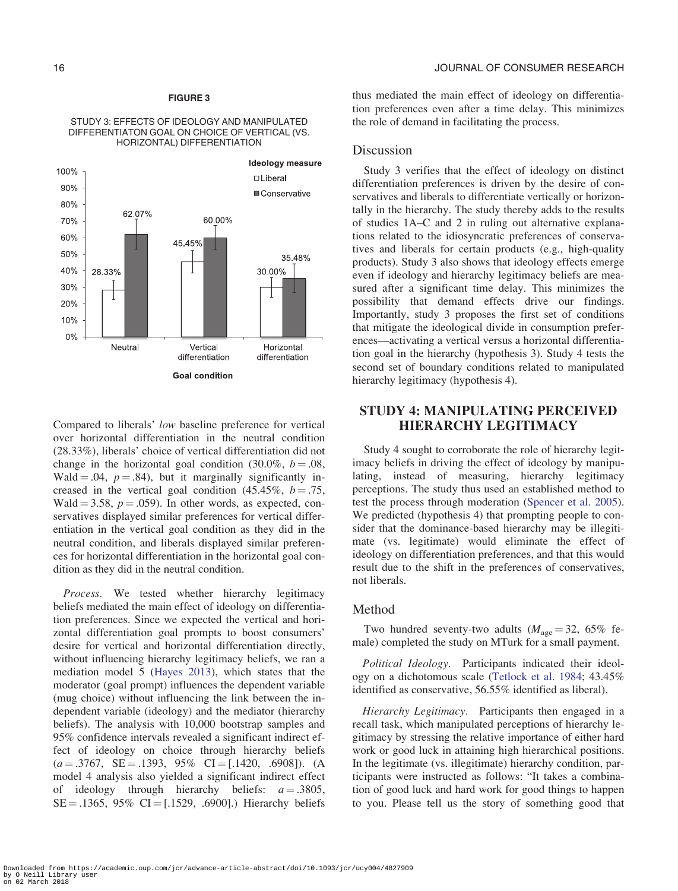#### FIGURE 3

<span id="page-15-0"></span>STUDY 3: EFFECTS OF IDEOLOGY AND MANIPULATED DIFFERENTIATON GOAL ON CHOICE OF VERTICAL (VS. HORIZONTAL) DIFFERENTIATION



Compared to liberals' low baseline preference for vertical over horizontal differentiation in the neutral condition (28.33%), liberals' choice of vertical differentiation did not change in the horizontal goal condition (30.0%,  $b = .08$ , Wald  $= .04$ ,  $p = .84$ ), but it marginally significantly increased in the vertical goal condition (45.45%,  $b = .75$ , Wald  $= 3.58$ ,  $p = .059$ ). In other words, as expected, conservatives displayed similar preferences for vertical differentiation in the vertical goal condition as they did in the neutral condition, and liberals displayed similar preferences for horizontal differentiation in the horizontal goal condition as they did in the neutral condition.

Process. We tested whether hierarchy legitimacy beliefs mediated the main effect of ideology on differentiation preferences. Since we expected the vertical and horizontal differentiation goal prompts to boost consumers' desire for vertical and horizontal differentiation directly, without influencing hierarchy legitimacy beliefs, we ran a mediation model 5 [\(Hayes 2013\)](#page-22-0), which states that the moderator (goal prompt) influences the dependent variable (mug choice) without influencing the link between the independent variable (ideology) and the mediator (hierarchy beliefs). The analysis with 10,000 bootstrap samples and 95% confidence intervals revealed a significant indirect effect of ideology on choice through hierarchy beliefs  $(a = .3767, \text{ SE} = .1393, 95\% \text{ CI} = [.1420, .6908]).$  (A model 4 analysis also yielded a significant indirect effect of ideology through hierarchy beliefs:  $a = .3805$ ,  $SE = .1365, 95\% \text{ CI} = [.1529, .6900].$  Hierarchy beliefs

thus mediated the main effect of ideology on differentiation preferences even after a time delay. This minimizes the role of demand in facilitating the process.

#### Discussion

Study 3 verifies that the effect of ideology on distinct differentiation preferences is driven by the desire of conservatives and liberals to differentiate vertically or horizontally in the hierarchy. The study thereby adds to the results of studies 1A–C and 2 in ruling out alternative explanations related to the idiosyncratic preferences of conservatives and liberals for certain products (e.g., high-quality products). Study 3 also shows that ideology effects emerge even if ideology and hierarchy legitimacy beliefs are measured after a significant time delay. This minimizes the possibility that demand effects drive our findings. Importantly, study 3 proposes the first set of conditions that mitigate the ideological divide in consumption preferences—activating a vertical versus a horizontal differentiation goal in the hierarchy (hypothesis 3). Study 4 tests the second set of boundary conditions related to manipulated hierarchy legitimacy (hypothesis 4).

# STUDY 4: MANIPULATING PERCEIVED HIERARCHY LEGITIMACY

Study 4 sought to corroborate the role of hierarchy legitimacy beliefs in driving the effect of ideology by manipulating, instead of measuring, hierarchy legitimacy perceptions. The study thus used an established method to test the process through moderation [\(Spencer et al. 2005\)](#page-23-0). We predicted (hypothesis 4) that prompting people to consider that the dominance-based hierarchy may be illegitimate (vs. legitimate) would eliminate the effect of ideology on differentiation preferences, and that this would result due to the shift in the preferences of conservatives, not liberals.

#### Method

Two hundred seventy-two adults ( $M_{\text{age}} = 32,~65\%$  female) completed the study on MTurk for a small payment.

Political Ideology. Participants indicated their ideology on a dichotomous scale ([Tetlock et al. 1984](#page-23-0); 43.45% identified as conservative, 56.55% identified as liberal).

Hierarchy Legitimacy. Participants then engaged in a recall task, which manipulated perceptions of hierarchy legitimacy by stressing the relative importance of either hard work or good luck in attaining high hierarchical positions. In the legitimate (vs. illegitimate) hierarchy condition, participants were instructed as follows: "It takes a combination of good luck and hard work for good things to happen to you. Please tell us the story of something good that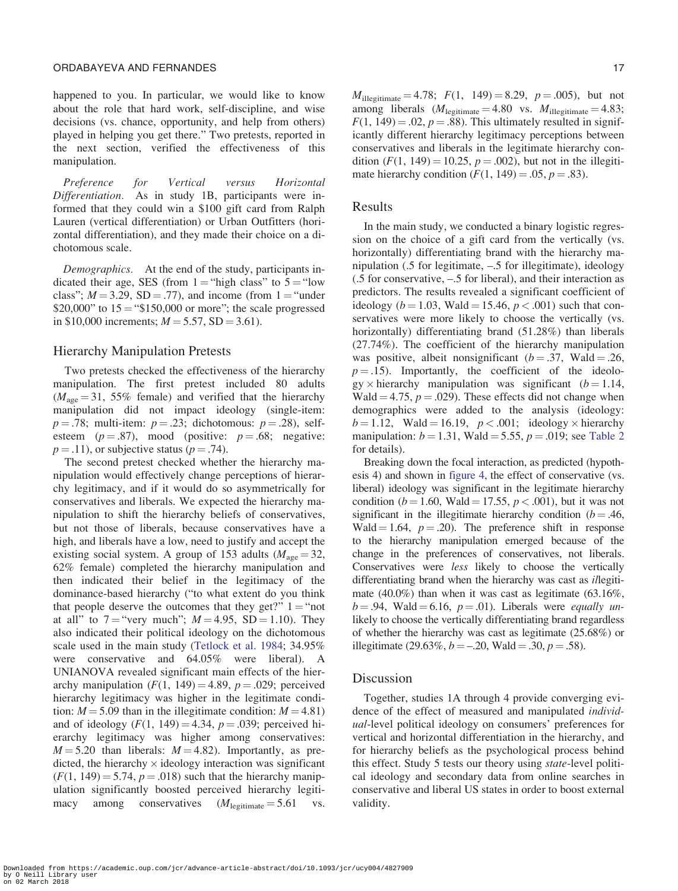#### ORDABAYEVA AND FERNANDES **17** AND 17 AND 17 AND 17 AND 17 AND 17 AND 17 AND 17 AND 17 AND 17 AND 17 AND 17 AND 17

happened to you. In particular, we would like to know about the role that hard work, self-discipline, and wise decisions (vs. chance, opportunity, and help from others) played in helping you get there." Two pretests, reported in the next section, verified the effectiveness of this manipulation.

Preference for Vertical versus Horizontal Differentiation. As in study 1B, participants were informed that they could win a \$100 gift card from Ralph Lauren (vertical differentiation) or Urban Outfitters (horizontal differentiation), and they made their choice on a dichotomous scale.

Demographics. At the end of the study, participants indicated their age, SES (from  $1 = \text{``high class''}$  to  $5 = \text{``low}$ class";  $M = 3.29$ , SD = .77), and income (from 1 = "under \$20,000" to  $15 =$  "\$150,000 or more"; the scale progressed in \$10,000 increments;  $M = 5.57$ , SD = 3.61).

## Hierarchy Manipulation Pretests

Two pretests checked the effectiveness of the hierarchy manipulation. The first pretest included 80 adults  $(M<sub>age</sub> = 31, 55\%$  female) and verified that the hierarchy manipulation did not impact ideology (single-item:  $p = .78$ ; multi-item:  $p = .23$ ; dichotomous:  $p = .28$ ), selfesteem  $(p=.87)$ , mood (positive:  $p=.68$ ; negative:  $p = .11$ , or subjective status ( $p = .74$ ).

The second pretest checked whether the hierarchy manipulation would effectively change perceptions of hierarchy legitimacy, and if it would do so asymmetrically for conservatives and liberals. We expected the hierarchy manipulation to shift the hierarchy beliefs of conservatives, but not those of liberals, because conservatives have a high, and liberals have a low, need to justify and accept the existing social system. A group of 153 adults ( $M_{\text{age}} = 32$ , 62% female) completed the hierarchy manipulation and then indicated their belief in the legitimacy of the dominance-based hierarchy ("to what extent do you think that people deserve the outcomes that they get?"  $1 = "not$ at all" to  $7 =$ "very much";  $M = 4.95$ , SD = 1.10). They also indicated their political ideology on the dichotomous scale used in the main study ([Tetlock et al. 1984;](#page-23-0) 34.95% were conservative and 64.05% were liberal). A UNIANOVA revealed significant main effects of the hierarchy manipulation  $(F(1, 149) = 4.89, p = .029;$  perceived hierarchy legitimacy was higher in the legitimate condition:  $M = 5.09$  than in the illegitimate condition:  $M = 4.81$ ) and of ideology  $(F(1, 149) = 4.34, p = .039;$  perceived hierarchy legitimacy was higher among conservatives:  $M = 5.20$  than liberals:  $M = 4.82$ ). Importantly, as predicted, the hierarchy  $\times$  ideology interaction was significant  $(F(1, 149) = 5.74, p = .018)$  such that the hierarchy manipulation significantly boosted perceived hierarchy legitimacy among conservatives  $(M_{\text{legitimate}} = 5.61 \text{ vs.}$ 

 $M_{\text{illegitimate}} = 4.78; \ F(1, 149) = 8.29, \ p = .005$ , but not among liberals  $(M_{\text{legitimate}} = 4.80 \text{ vs. } M_{\text{illegitimate}} = 4.83;$  $F(1, 149) = .02$ ,  $p = .88$ ). This ultimately resulted in significantly different hierarchy legitimacy perceptions between conservatives and liberals in the legitimate hierarchy condition  $(F(1, 149) = 10.25, p = .002)$ , but not in the illegitimate hierarchy condition  $(F(1, 149) = .05, p = .83)$ .

## Results

In the main study, we conducted a binary logistic regression on the choice of a gift card from the vertically (vs. horizontally) differentiating brand with the hierarchy manipulation (.5 for legitimate, –.5 for illegitimate), ideology (.5 for conservative, –.5 for liberal), and their interaction as predictors. The results revealed a significant coefficient of ideology ( $b = 1.03$ , Wald = 15.46,  $p < .001$ ) such that conservatives were more likely to choose the vertically (vs. horizontally) differentiating brand (51.28%) than liberals (27.74%). The coefficient of the hierarchy manipulation was positive, albeit nonsignificant ( $b = .37$ , Wald = .26,  $p = .15$ ). Importantly, the coefficient of the ideolo $gy \times$  hierarchy manipulation was significant ( $b = 1.14$ , Wald  $=$  4.75,  $p = .029$ ). These effects did not change when demographics were added to the analysis (ideology:  $b = 1.12$ , Wald = 16.19,  $p < .001$ ; ideology  $\times$  hierarchy manipulation:  $b = 1.31$ , Wald = 5.55,  $p = .019$ ; see [Table 2](#page-8-0) for details).

Breaking down the focal interaction, as predicted (hypothesis 4) and shown in [figure 4](#page-17-0), the effect of conservative (vs. liberal) ideology was significant in the legitimate hierarchy condition ( $b = 1.60$ , Wald = 17.55,  $p < .001$ ), but it was not significant in the illegitimate hierarchy condition ( $b = .46$ , Wald = 1.64,  $p = .20$ ). The preference shift in response to the hierarchy manipulation emerged because of the change in the preferences of conservatives, not liberals. Conservatives were less likely to choose the vertically differentiating brand when the hierarchy was cast as illegitimate (40.0%) than when it was cast as legitimate (63.16%,  $b = .94$ , Wald = 6.16,  $p = .01$ ). Liberals were *equally un*likely to choose the vertically differentiating brand regardless of whether the hierarchy was cast as legitimate (25.68%) or illegitimate (29.63%,  $b = -.20$ , Wald = .30,  $p = .58$ ).

#### Discussion

Together, studies 1A through 4 provide converging evidence of the effect of measured and manipulated individual-level political ideology on consumers' preferences for vertical and horizontal differentiation in the hierarchy, and for hierarchy beliefs as the psychological process behind this effect. Study 5 tests our theory using state-level political ideology and secondary data from online searches in conservative and liberal US states in order to boost external validity.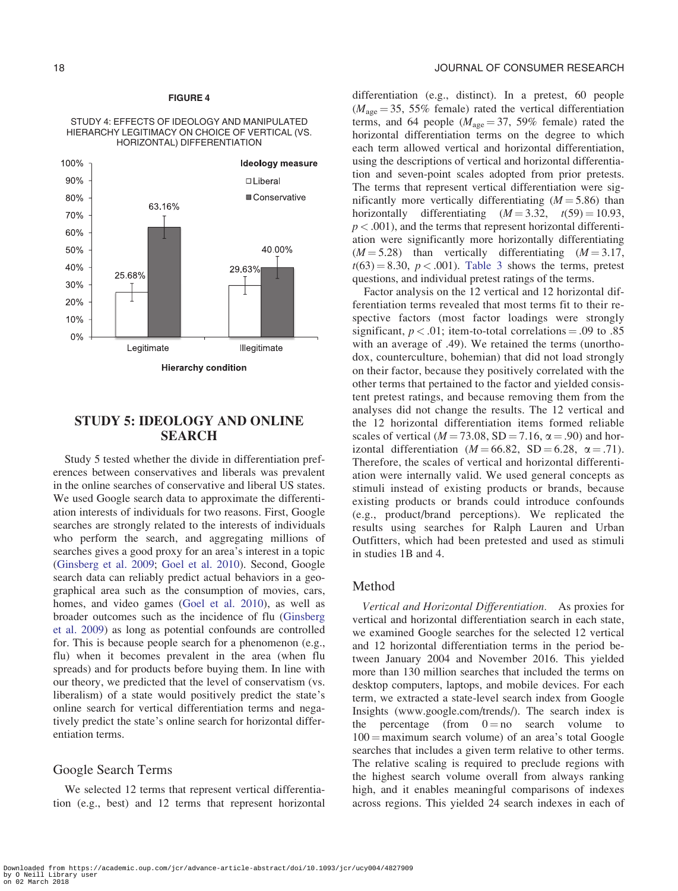#### FIGURE 4

<span id="page-17-0"></span>STUDY 4: EFFECTS OF IDEOLOGY AND MANIPULATED HIERARCHY LEGITIMACY ON CHOICE OF VERTICAL (VS. HORIZONTAL) DIFFERENTIATION



# STUDY 5: IDEOLOGY AND ONLINE SEARCH

Study 5 tested whether the divide in differentiation preferences between conservatives and liberals was prevalent in the online searches of conservative and liberal US states. We used Google search data to approximate the differentiation interests of individuals for two reasons. First, Google searches are strongly related to the interests of individuals who perform the search, and aggregating millions of searches gives a good proxy for an area's interest in a topic [\(Ginsberg et al. 2009;](#page-22-0) [Goel et al. 2010\)](#page-22-0). Second, Google search data can reliably predict actual behaviors in a geographical area such as the consumption of movies, cars, homes, and video games [\(Goel et al. 2010](#page-22-0)), as well as broader outcomes such as the incidence of flu ([Ginsberg](#page-22-0) [et al. 2009](#page-22-0)) as long as potential confounds are controlled for. This is because people search for a phenomenon (e.g., flu) when it becomes prevalent in the area (when flu spreads) and for products before buying them. In line with our theory, we predicted that the level of conservatism (vs. liberalism) of a state would positively predict the state's online search for vertical differentiation terms and negatively predict the state's online search for horizontal differentiation terms.

## Google Search Terms

We selected 12 terms that represent vertical differentiation (e.g., best) and 12 terms that represent horizontal differentiation (e.g., distinct). In a pretest, 60 people  $(M<sub>age</sub> = 35, 55\%$  female) rated the vertical differentiation terms, and 64 people ( $M_{\text{age}} = 37$ , 59% female) rated the horizontal differentiation terms on the degree to which each term allowed vertical and horizontal differentiation, using the descriptions of vertical and horizontal differentiation and seven-point scales adopted from prior pretests. The terms that represent vertical differentiation were significantly more vertically differentiating  $(M = 5.86)$  than horizontally differentiating  $(M = 3.32, t(59) = 10.93,$  $p < .001$ ), and the terms that represent horizontal differentiation were significantly more horizontally differentiating  $(M = 5.28)$  than vertically differentiating  $(M = 3.17,$  $t(63) = 8.30, p < .001$ . [Table 3](#page-18-0) shows the terms, pretest questions, and individual pretest ratings of the terms.

Factor analysis on the 12 vertical and 12 horizontal differentiation terms revealed that most terms fit to their respective factors (most factor loadings were strongly significant,  $p < .01$ ; item-to-total correlations = .09 to .85 with an average of .49). We retained the terms (unorthodox, counterculture, bohemian) that did not load strongly on their factor, because they positively correlated with the other terms that pertained to the factor and yielded consistent pretest ratings, and because removing them from the analyses did not change the results. The 12 vertical and the 12 horizontal differentiation items formed reliable scales of vertical ( $M = 73.08$ , SD = 7.16,  $\alpha = .90$ ) and horizontal differentiation ( $M = 66.82$ , SD = 6.28,  $\alpha = .71$ ). Therefore, the scales of vertical and horizontal differentiation were internally valid. We used general concepts as stimuli instead of existing products or brands, because existing products or brands could introduce confounds (e.g., product/brand perceptions). We replicated the results using searches for Ralph Lauren and Urban Outfitters, which had been pretested and used as stimuli in studies 1B and 4.

#### Method

Vertical and Horizontal Differentiation. As proxies for vertical and horizontal differentiation search in each state, we examined Google searches for the selected 12 vertical and 12 horizontal differentiation terms in the period between January 2004 and November 2016. This yielded more than 130 million searches that included the terms on desktop computers, laptops, and mobile devices. For each term, we extracted a state-level search index from Google Insights ([www.google.com/trends/](http://www.google.com/trends)). The search index is the percentage (from  $0 = no$  search volume to  $100 =$  maximum search volume) of an area's total Google searches that includes a given term relative to other terms. The relative scaling is required to preclude regions with the highest search volume overall from always ranking high, and it enables meaningful comparisons of indexes across regions. This yielded 24 search indexes in each of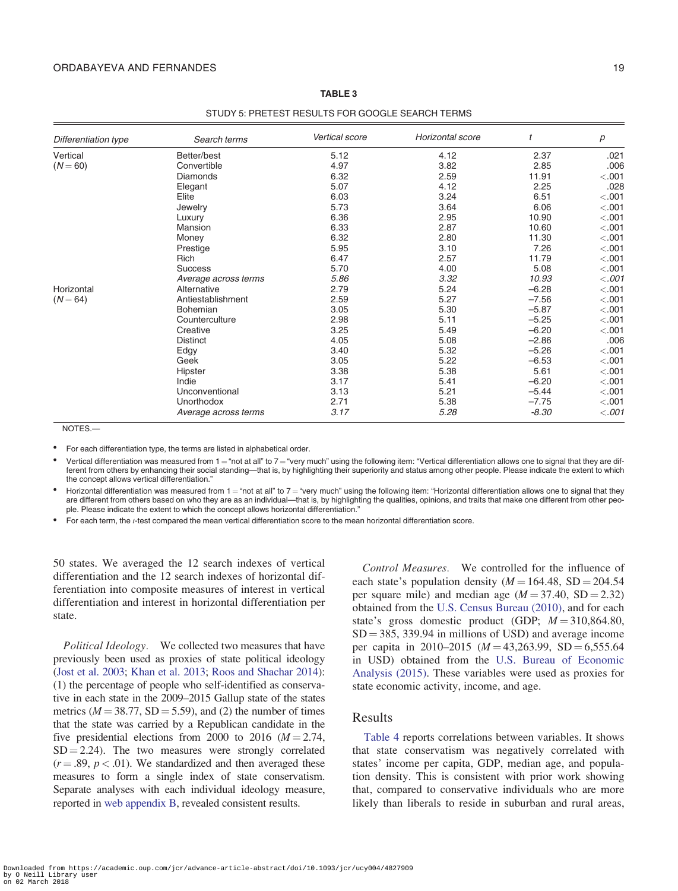<span id="page-18-0"></span>

| Differentiation type | Search terms         | Vertical score | Horizontal score | t       | p       |
|----------------------|----------------------|----------------|------------------|---------|---------|
| Vertical             | Better/best          | 5.12           | 4.12             | 2.37    | .021    |
| $(N = 60)$           | Convertible          | 4.97           | 3.82             | 2.85    | .006    |
|                      | <b>Diamonds</b>      | 6.32           | 2.59             | 11.91   | < .001  |
|                      | Elegant              | 5.07           | 4.12             | 2.25    | .028    |
|                      | Elite                | 6.03           | 3.24             | 6.51    | < .001  |
|                      | Jewelry              | 5.73           | 3.64             | 6.06    | < .001  |
|                      | Luxury               | 6.36           | 2.95             | 10.90   | < .001  |
|                      | Mansion              | 6.33           | 2.87             | 10.60   | < .001  |
|                      | Money                | 6.32           | 2.80             | 11.30   | < .001  |
|                      | Prestige             | 5.95           | 3.10             | 7.26    | < .001  |
|                      | Rich                 | 6.47           | 2.57             | 11.79   | < .001  |
|                      | <b>Success</b>       | 5.70           | 4.00             | 5.08    | < .001  |
|                      | Average across terms | 5.86           | 3.32             | 10.93   | $-.001$ |
| Horizontal           | Alternative          | 2.79           | 5.24             | $-6.28$ | < .001  |
| $(N = 64)$           | Antiestablishment    | 2.59           | 5.27             | $-7.56$ | < .001  |
|                      | <b>Bohemian</b>      | 3.05           | 5.30             | $-5.87$ | < .001  |
|                      | Counterculture       | 2.98           | 5.11             | $-5.25$ | < .001  |
|                      | Creative             | 3.25           | 5.49             | $-6.20$ | < .001  |
|                      | <b>Distinct</b>      | 4.05           | 5.08             | $-2.86$ | .006    |
|                      | Edgy                 | 3.40           | 5.32             | $-5.26$ | < .001  |
|                      | Geek                 | 3.05           | 5.22             | $-6.53$ | < .001  |
|                      | Hipster              | 3.38           | 5.38             | 5.61    | < .001  |
|                      | Indie                | 3.17           | 5.41             | $-6.20$ | < .001  |
|                      | Unconventional       | 3.13           | 5.21             | $-5.44$ | < .001  |
|                      | Unorthodox           | 2.71           | 5.38             | $-7.75$ | < .001  |
|                      | Average across terms | 3.17           | 5.28             | $-8.30$ | $-.001$ |

TABLE 3

STUDY 5: PRETEST RESULTS FOR GOOGLE SEARCH TERMS

NOTES.—

• For each differentiation type, the terms are listed in alphabetical order.

Vertical differentiation was measured from 1 = "not at all" to 7 = "very much" using the following item: "Vertical differentiation allows one to signal that they are different from others by enhancing their social standing—that is, by highlighting their superiority and status among other people. Please indicate the extent to which the concept allows vertical differentiation."

Horizontal differentiation was measured from 1 = "not at all" to 7 = "very much" using the following item: "Horizontal differentiation allows one to signal that they are different from others based on who they are as an individual—that is, by highlighting the qualities, opinions, and traits that make one different from other people. Please indicate the extent to which the concept allows horizontal differentiation."

• For each term, the t-test compared the mean vertical differentiation score to the mean horizontal differentiation score.

50 states. We averaged the 12 search indexes of vertical differentiation and the 12 search indexes of horizontal differentiation into composite measures of interest in vertical differentiation and interest in horizontal differentiation per state.

Political Ideology. We collected two measures that have previously been used as proxies of state political ideology [\(Jost et al. 2003](#page-22-0); [Khan et al. 2013;](#page-22-0) [Roos and Shachar 2014\)](#page-23-0): (1) the percentage of people who self-identified as conservative in each state in the 2009–2015 Gallup state of the states metrics ( $M = 38.77$ , SD = 5.59), and (2) the number of times that the state was carried by a Republican candidate in the five presidential elections from 2000 to 2016 ( $M = 2.74$ ,  $SD = 2.24$ ). The two measures were strongly correlated  $(r = .89, p < .01)$ . We standardized and then averaged these measures to form a single index of state conservatism. Separate analyses with each individual ideology measure, reported in [web appendix B,](https://academic.oup.com/jcr/article-lookup/doi/10.1093/jcr/ucy004#supplementary-data) revealed consistent results.

Control Measures. We controlled for the influence of each state's population density ( $M = 164.48$ , SD = 204.54 per square mile) and median age  $(M = 37.40, SD = 2.32)$ obtained from the [U.S. Census Bureau \(2010\),](#page-23-0) and for each state's gross domestic product (GDP;  $M = 310,864.80$ ,  $SD = 385, 339.94$  in millions of USD) and average income per capita in 2010–2015 ( $M = 43,263.99$ , SD = 6,555.64 in USD) obtained from the [U.S. Bureau of Economic](#page-23-0) [Analysis \(2015\).](#page-23-0) These variables were used as proxies for state economic activity, income, and age.

## Results

[Table 4](#page-19-0) reports correlations between variables. It shows that state conservatism was negatively correlated with states' income per capita, GDP, median age, and population density. This is consistent with prior work showing that, compared to conservative individuals who are more likely than liberals to reside in suburban and rural areas,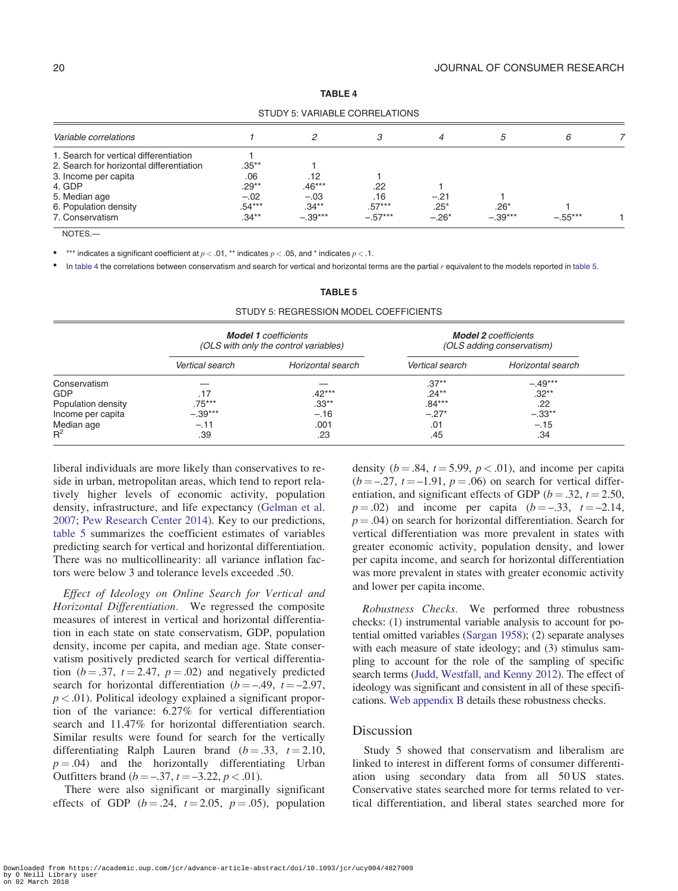<span id="page-19-0"></span>

|                                          | STUDY 5: VARIABLE CORRELATIONS |           |           |         |           |           |  |
|------------------------------------------|--------------------------------|-----------|-----------|---------|-----------|-----------|--|
| Variable correlations                    |                                |           |           |         |           | 6         |  |
| 1. Search for vertical differentiation   |                                |           |           |         |           |           |  |
| 2. Search for horizontal differentiation | $.35***$                       |           |           |         |           |           |  |
| 3. Income per capita                     | .06                            | .12       |           |         |           |           |  |
| 4. GDP                                   | $.29**$                        | $.46***$  | .22       |         |           |           |  |
| 5. Median age                            | $-.02$                         | $-.03$    | .16       | $-.21$  |           |           |  |
| 6. Population density                    | $.54***$                       | $.34***$  | $.57***$  | $.25*$  | $.26*$    |           |  |
| 7. Conservatism                          | .34**                          | $-.39***$ | $-.57***$ | $-.26*$ | $-.39***$ | $-.55***$ |  |

TABLE 4

STUDY 5: VARIABLE CORRELATIONS

NOTES.—

\*\*\* indicates a significant coefficient at  $p < .01$ , \*\* indicates  $p < .05$ , and \* indicates  $p < .1$ .

In table 4 the correlations between conservatism and search for vertical and horizontal terms are the partial r equivalent to the models reported in table 5.

|                    |                 | <b>Model 1</b> coefficients<br>(OLS with only the control variables) |                 | <b>Model 2</b> coefficients<br>(OLS adding conservatism) |  |
|--------------------|-----------------|----------------------------------------------------------------------|-----------------|----------------------------------------------------------|--|
|                    | Vertical search | Horizontal search                                                    | Vertical search | Horizontal search                                        |  |
| Conservatism       |                 |                                                                      | $.37**$         | $-.49***$                                                |  |
| GDP                | .17             | $.42***$                                                             | $.24***$        | $.32***$                                                 |  |
| Population density | $.75***$        | $.33***$                                                             | $.84***$        | .22                                                      |  |
| Income per capita  | $-.39***$       | $-.16$                                                               | $-.27*$         | $-.33**$                                                 |  |
| Median age         | $-.11$          | .001                                                                 | .01             | $-.15$                                                   |  |
| $R^2$              | .39             | .23                                                                  | .45             | .34                                                      |  |

# TABLE 5 STUDY 5: REGRESSION MODEL COEFFICIENTS

liberal individuals are more likely than conservatives to reside in urban, metropolitan areas, which tend to report relatively higher levels of economic activity, population density, infrastructure, and life expectancy [\(Gelman et al.](#page-22-0) [2007;](#page-22-0) [Pew Research Center 2014\)](#page-23-0). Key to our predictions, table 5 summarizes the coefficient estimates of variables predicting search for vertical and horizontal differentiation. There was no multicollinearity: all variance inflation factors were below 3 and tolerance levels exceeded .50.

Effect of Ideology on Online Search for Vertical and Horizontal Differentiation. We regressed the composite measures of interest in vertical and horizontal differentiation in each state on state conservatism, GDP, population density, income per capita, and median age. State conservatism positively predicted search for vertical differentiation ( $b = .37$ ,  $t = 2.47$ ,  $p = .02$ ) and negatively predicted search for horizontal differentiation ( $b = -.49$ ,  $t = -2.97$ ,  $p < .01$ ). Political ideology explained a significant proportion of the variance: 6.27% for vertical differentiation search and 11.47% for horizontal differentiation search. Similar results were found for search for the vertically differentiating Ralph Lauren brand  $(b=.33, t=.2.10,$  $p = .04$ ) and the horizontally differentiating Urban Outfitters brand ( $b = -.37$ ,  $t = -3.22$ ,  $p < .01$ ).

There were also significant or marginally significant effects of GDP ( $b = .24$ ,  $t = 2.05$ ,  $p = .05$ ), population

density ( $b = .84$ ,  $t = 5.99$ ,  $p < .01$ ), and income per capita  $(b = -27, t = -1.91, p = .06)$  on search for vertical differentiation, and significant effects of GDP ( $b = .32$ ,  $t = 2.50$ ,  $p = .02$ ) and income per capita  $(b = -.33, t = -2.14,$  $p = .04$ ) on search for horizontal differentiation. Search for vertical differentiation was more prevalent in states with greater economic activity, population density, and lower per capita income, and search for horizontal differentiation was more prevalent in states with greater economic activity and lower per capita income.

Robustness Checks. We performed three robustness checks: (1) instrumental variable analysis to account for potential omitted variables ([Sargan 1958\)](#page-23-0); (2) separate analyses with each measure of state ideology; and (3) stimulus sampling to account for the role of the sampling of specific search terms [\(Judd, Westfall, and Kenny 2012\)](#page-22-0). The effect of ideology was significant and consistent in all of these specifications. [Web appendix B](https://academic.oup.com/jcr/article-lookup/doi/10.1093/jcr/ucy004#supplementary-data) details these robustness checks.

## Discussion

Study 5 showed that conservatism and liberalism are linked to interest in different forms of consumer differentiation using secondary data from all 50 US states. Conservative states searched more for terms related to vertical differentiation, and liberal states searched more for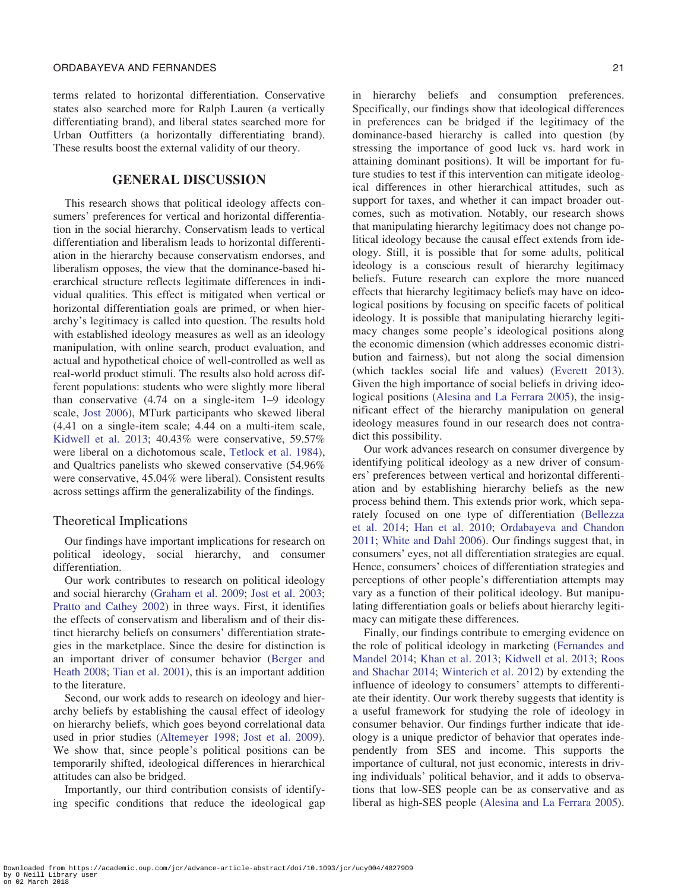#### ORDABAYEVA AND FERNANDES 21

terms related to horizontal differentiation. Conservative states also searched more for Ralph Lauren (a vertically differentiating brand), and liberal states searched more for Urban Outfitters (a horizontally differentiating brand). These results boost the external validity of our theory.

## GENERAL DISCUSSION

This research shows that political ideology affects consumers' preferences for vertical and horizontal differentiation in the social hierarchy. Conservatism leads to vertical differentiation and liberalism leads to horizontal differentiation in the hierarchy because conservatism endorses, and liberalism opposes, the view that the dominance-based hierarchical structure reflects legitimate differences in individual qualities. This effect is mitigated when vertical or horizontal differentiation goals are primed, or when hierarchy's legitimacy is called into question. The results hold with established ideology measures as well as an ideology manipulation, with online search, product evaluation, and actual and hypothetical choice of well-controlled as well as real-world product stimuli. The results also hold across different populations: students who were slightly more liberal than conservative (4.74 on a single-item 1–9 ideology scale, [Jost 2006\)](#page-22-0), MTurk participants who skewed liberal (4.41 on a single-item scale; 4.44 on a multi-item scale, [Kidwell et al. 2013;](#page-22-0) 40.43% were conservative, 59.57% were liberal on a dichotomous scale, [Tetlock et al. 1984\)](#page-23-0), and Qualtrics panelists who skewed conservative (54.96% were conservative, 45.04% were liberal). Consistent results across settings affirm the generalizability of the findings.

#### Theoretical Implications

Our findings have important implications for research on political ideology, social hierarchy, and consumer differentiation.

Our work contributes to research on political ideology and social hierarchy ([Graham et al. 2009;](#page-22-0) [Jost et al. 2003;](#page-22-0) [Pratto and Cathey 2002\)](#page-23-0) in three ways. First, it identifies the effects of conservatism and liberalism and of their distinct hierarchy beliefs on consumers' differentiation strategies in the marketplace. Since the desire for distinction is an important driver of consumer behavior [\(Berger and](#page-21-0) [Heath 2008;](#page-21-0) [Tian et al. 2001](#page-23-0)), this is an important addition to the literature.

Second, our work adds to research on ideology and hierarchy beliefs by establishing the causal effect of ideology on hierarchy beliefs, which goes beyond correlational data used in prior studies ([Altemeyer 1998](#page-21-0); [Jost et al. 2009\)](#page-22-0). We show that, since people's political positions can be temporarily shifted, ideological differences in hierarchical attitudes can also be bridged.

Importantly, our third contribution consists of identifying specific conditions that reduce the ideological gap in hierarchy beliefs and consumption preferences. Specifically, our findings show that ideological differences in preferences can be bridged if the legitimacy of the dominance-based hierarchy is called into question (by stressing the importance of good luck vs. hard work in attaining dominant positions). It will be important for future studies to test if this intervention can mitigate ideological differences in other hierarchical attitudes, such as support for taxes, and whether it can impact broader outcomes, such as motivation. Notably, our research shows that manipulating hierarchy legitimacy does not change political ideology because the causal effect extends from ideology. Still, it is possible that for some adults, political ideology is a conscious result of hierarchy legitimacy beliefs. Future research can explore the more nuanced effects that hierarchy legitimacy beliefs may have on ideological positions by focusing on specific facets of political ideology. It is possible that manipulating hierarchy legitimacy changes some people's ideological positions along the economic dimension (which addresses economic distribution and fairness), but not along the social dimension (which tackles social life and values) [\(Everett 2013\)](#page-22-0). Given the high importance of social beliefs in driving ideological positions [\(Alesina and La Ferrara 2005\)](#page-21-0), the insignificant effect of the hierarchy manipulation on general ideology measures found in our research does not contradict this possibility.

Our work advances research on consumer divergence by identifying political ideology as a new driver of consumers' preferences between vertical and horizontal differentiation and by establishing hierarchy beliefs as the new process behind them. This extends prior work, which separately focused on one type of differentiation ([Bellezza](#page-21-0) [et al. 2014](#page-21-0); [Han et al. 2010](#page-22-0); [Ordabayeva and Chandon](#page-23-0) [2011;](#page-23-0) [White and Dahl 2006](#page-23-0)). Our findings suggest that, in consumers' eyes, not all differentiation strategies are equal. Hence, consumers' choices of differentiation strategies and perceptions of other people's differentiation attempts may vary as a function of their political ideology. But manipulating differentiation goals or beliefs about hierarchy legitimacy can mitigate these differences.

Finally, our findings contribute to emerging evidence on the role of political ideology in marketing [\(Fernandes and](#page-22-0) [Mandel 2014](#page-22-0); [Khan et al. 2013](#page-22-0); [Kidwell et al. 2013](#page-22-0); [Roos](#page-23-0) [and Shachar 2014](#page-23-0); [Winterich et al. 2012](#page-23-0)) by extending the influence of ideology to consumers' attempts to differentiate their identity. Our work thereby suggests that identity is a useful framework for studying the role of ideology in consumer behavior. Our findings further indicate that ideology is a unique predictor of behavior that operates independently from SES and income. This supports the importance of cultural, not just economic, interests in driving individuals' political behavior, and it adds to observations that low-SES people can be as conservative and as liberal as high-SES people [\(Alesina and La Ferrara 2005\)](#page-21-0).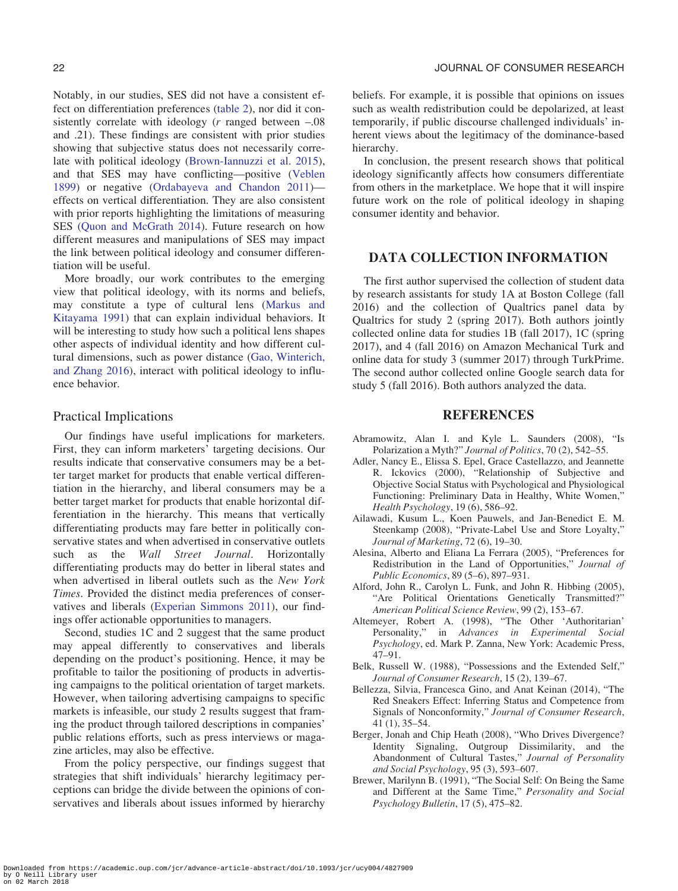<span id="page-21-0"></span>Notably, in our studies, SES did not have a consistent effect on differentiation preferences ([table 2](#page-8-0)), nor did it consistently correlate with ideology ( $r$  ranged between  $-.08$ and .21). These findings are consistent with prior studies showing that subjective status does not necessarily correlate with political ideology [\(Brown-Iannuzzi et al. 2015\)](#page-22-0), and that SES may have conflicting—positive ([Veblen](#page-23-0) [1899\)](#page-23-0) or negative [\(Ordabayeva and Chandon 2011](#page-23-0)) effects on vertical differentiation. They are also consistent with prior reports highlighting the limitations of measuring SES [\(Quon and McGrath 2014\)](#page-23-0). Future research on how different measures and manipulations of SES may impact the link between political ideology and consumer differentiation will be useful.

More broadly, our work contributes to the emerging view that political ideology, with its norms and beliefs, may constitute a type of cultural lens [\(Markus and](#page-23-0) [Kitayama 1991](#page-23-0)) that can explain individual behaviors. It will be interesting to study how such a political lens shapes other aspects of individual identity and how different cultural dimensions, such as power distance [\(Gao, Winterich,](#page-22-0) [and Zhang 2016\)](#page-22-0), interact with political ideology to influence behavior.

## Practical Implications

Our findings have useful implications for marketers. First, they can inform marketers' targeting decisions. Our results indicate that conservative consumers may be a better target market for products that enable vertical differentiation in the hierarchy, and liberal consumers may be a better target market for products that enable horizontal differentiation in the hierarchy. This means that vertically differentiating products may fare better in politically conservative states and when advertised in conservative outlets such as the *Wall Street Journal*. Horizontally differentiating products may do better in liberal states and when advertised in liberal outlets such as the New York Times. Provided the distinct media preferences of conservatives and liberals ([Experian Simmons 2011](#page-22-0)), our findings offer actionable opportunities to managers.

Second, studies 1C and 2 suggest that the same product may appeal differently to conservatives and liberals depending on the product's positioning. Hence, it may be profitable to tailor the positioning of products in advertising campaigns to the political orientation of target markets. However, when tailoring advertising campaigns to specific markets is infeasible, our study 2 results suggest that framing the product through tailored descriptions in companies' public relations efforts, such as press interviews or magazine articles, may also be effective.

From the policy perspective, our findings suggest that strategies that shift individuals' hierarchy legitimacy perceptions can bridge the divide between the opinions of conservatives and liberals about issues informed by hierarchy beliefs. For example, it is possible that opinions on issues such as wealth redistribution could be depolarized, at least temporarily, if public discourse challenged individuals' inherent views about the legitimacy of the dominance-based hierarchy.

In conclusion, the present research shows that political ideology significantly affects how consumers differentiate from others in the marketplace. We hope that it will inspire future work on the role of political ideology in shaping consumer identity and behavior.

## DATA COLLECTION INFORMATION

The first author supervised the collection of student data by research assistants for study 1A at Boston College (fall 2016) and the collection of Qualtrics panel data by Qualtrics for study 2 (spring 2017). Both authors jointly collected online data for studies 1B (fall 2017), 1C (spring 2017), and 4 (fall 2016) on Amazon Mechanical Turk and online data for study 3 (summer 2017) through TurkPrime. The second author collected online Google search data for study 5 (fall 2016). Both authors analyzed the data.

## **REFERENCES**

- Abramowitz, Alan I. and Kyle L. Saunders (2008), "Is Polarization a Myth?" Journal of Politics, 70 (2), 542–55.
- Adler, Nancy E., Elissa S. Epel, Grace Castellazzo, and Jeannette R. Ickovics (2000), "Relationship of Subjective and Objective Social Status with Psychological and Physiological Functioning: Preliminary Data in Healthy, White Women," Health Psychology, 19 (6), 586–92.
- Ailawadi, Kusum L., Koen Pauwels, and Jan-Benedict E. M. Steenkamp (2008), "Private-Label Use and Store Loyalty," Journal of Marketing, 72 (6), 19–30.
- Alesina, Alberto and Eliana La Ferrara (2005), "Preferences for Redistribution in the Land of Opportunities," Journal of Public Economics, 89 (5–6), 897–931.
- Alford, John R., Carolyn L. Funk, and John R. Hibbing (2005), "Are Political Orientations Genetically Transmitted?" American Political Science Review, 99 (2), 153–67.
- Altemeyer, Robert A. (1998), "The Other 'Authoritarian' Personality," in Advances in Experimental Social Psychology, ed. Mark P. Zanna, New York: Academic Press, 47–91.
- Belk, Russell W. (1988), "Possessions and the Extended Self," Journal of Consumer Research, 15 (2), 139–67.
- Bellezza, Silvia, Francesca Gino, and Anat Keinan (2014), "The Red Sneakers Effect: Inferring Status and Competence from Signals of Nonconformity," Journal of Consumer Research, 41 (1), 35–54.
- Berger, Jonah and Chip Heath (2008), "Who Drives Divergence? Identity Signaling, Outgroup Dissimilarity, and the Abandonment of Cultural Tastes," Journal of Personality and Social Psychology, 95 (3), 593–607.
- Brewer, Marilynn B. (1991), "The Social Self: On Being the Same and Different at the Same Time," Personality and Social Psychology Bulletin, 17 (5), 475–82.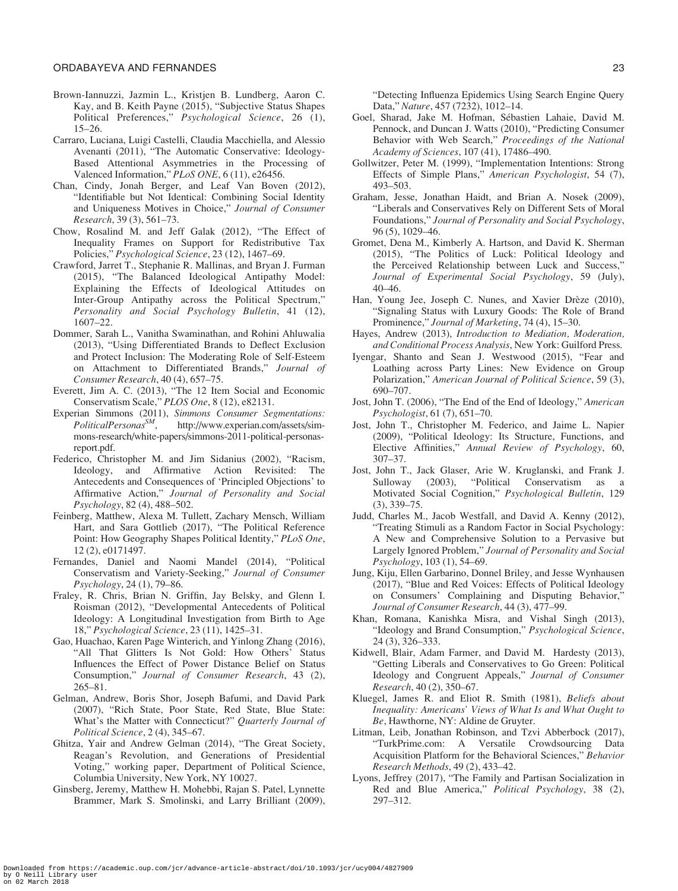#### <span id="page-22-0"></span>ORDABAYEVA AND FERNANDES 23

- Brown-Iannuzzi, Jazmin L., Kristjen B. Lundberg, Aaron C. Kay, and B. Keith Payne (2015), "Subjective Status Shapes Political Preferences," Psychological Science, 26 (1), 15–26.
- Carraro, Luciana, Luigi Castelli, Claudia Macchiella, and Alessio Avenanti (2011), "The Automatic Conservative: Ideology-Based Attentional Asymmetries in the Processing of Valenced Information," PLoS ONE, 6 (11), e26456.
- Chan, Cindy, Jonah Berger, and Leaf Van Boven (2012), "Identifiable but Not Identical: Combining Social Identity and Uniqueness Motives in Choice," Journal of Consumer Research, 39 (3), 561–73.
- Chow, Rosalind M. and Jeff Galak (2012), "The Effect of Inequality Frames on Support for Redistributive Tax Policies," Psychological Science, 23 (12), 1467–69.
- Crawford, Jarret T., Stephanie R. Mallinas, and Bryan J. Furman (2015), "The Balanced Ideological Antipathy Model: Explaining the Effects of Ideological Attitudes on Inter-Group Antipathy across the Political Spectrum," Personality and Social Psychology Bulletin, 41 (12), 1607–22.
- Dommer, Sarah L., Vanitha Swaminathan, and Rohini Ahluwalia (2013), "Using Differentiated Brands to Deflect Exclusion and Protect Inclusion: The Moderating Role of Self-Esteem on Attachment to Differentiated Brands," Journal of Consumer Research, 40 (4), 657–75.
- Everett, Jim A. C. (2013), "The 12 Item Social and Economic Conservatism Scale," PLOS One, 8 (12), e82131.
- Experian Simmons (2011), Simmons Consumer Segmentations:  $PoliticalPersonas<sup>SM</sup>$ , [http://www.experian.com/assets/sim](http://www.experian.com/assets/simmons-research/white-papers/simmons-2011-political-personas-report.pdf)[mons-research/white-papers/simmons-2011-political-personas](http://www.experian.com/assets/simmons-research/white-papers/simmons-2011-political-personas-report.pdf)[report.pdf](http://www.experian.com/assets/simmons-research/white-papers/simmons-2011-political-personas-report.pdf).
- Federico, Christopher M. and Jim Sidanius (2002), "Racism, Ideology, and Affirmative Action Revisited: The Antecedents and Consequences of 'Principled Objections' to Affirmative Action," Journal of Personality and Social Psychology, 82 (4), 488–502.
- Feinberg, Matthew, Alexa M. Tullett, Zachary Mensch, William Hart, and Sara Gottlieb (2017), "The Political Reference Point: How Geography Shapes Political Identity," PLoS One, 12 (2), e0171497.
- Fernandes, Daniel and Naomi Mandel (2014), "Political Conservatism and Variety-Seeking," Journal of Consumer Psychology, 24 (1), 79–86.
- Fraley, R. Chris, Brian N. Griffin, Jay Belsky, and Glenn I. Roisman (2012), "Developmental Antecedents of Political Ideology: A Longitudinal Investigation from Birth to Age 18," Psychological Science, 23 (11), 1425–31.
- Gao, Huachao, Karen Page Winterich, and Yinlong Zhang (2016), "All That Glitters Is Not Gold: How Others' Status Influences the Effect of Power Distance Belief on Status Consumption," Journal of Consumer Research, 43 (2), 265–81.
- Gelman, Andrew, Boris Shor, Joseph Bafumi, and David Park (2007), "Rich State, Poor State, Red State, Blue State: What's the Matter with Connecticut?" Quarterly Journal of Political Science, 2 (4), 345–67.
- Ghitza, Yair and Andrew Gelman (2014), "The Great Society, Reagan's Revolution, and Generations of Presidential Voting," working paper, Department of Political Science, Columbia University, New York, NY 10027.
- Ginsberg, Jeremy, Matthew H. Mohebbi, Rajan S. Patel, Lynnette Brammer, Mark S. Smolinski, and Larry Brilliant (2009),

"Detecting Influenza Epidemics Using Search Engine Query Data," Nature, 457 (7232), 1012–14.

- Goel, Sharad, Jake M. Hofman, Sébastien Lahaie, David M. Pennock, and Duncan J. Watts (2010), "Predicting Consumer Behavior with Web Search," Proceedings of the National Academy of Sciences, 107 (41), 17486–490.
- Gollwitzer, Peter M. (1999), "Implementation Intentions: Strong Effects of Simple Plans," American Psychologist, 54 (7), 493–503.
- Graham, Jesse, Jonathan Haidt, and Brian A. Nosek (2009), "Liberals and Conservatives Rely on Different Sets of Moral Foundations," Journal of Personality and Social Psychology, 96 (5), 1029–46.
- Gromet, Dena M., Kimberly A. Hartson, and David K. Sherman (2015), "The Politics of Luck: Political Ideology and the Perceived Relationship between Luck and Success," Journal of Experimental Social Psychology, 59 (July), 40–46.
- Han, Young Jee, Joseph C. Nunes, and Xavier Drèze (2010), "Signaling Status with Luxury Goods: The Role of Brand Prominence," Journal of Marketing, 74 (4), 15–30.
- Hayes, Andrew (2013), Introduction to Mediation, Moderation, and Conditional Process Analysis, New York: Guilford Press.
- Iyengar, Shanto and Sean J. Westwood (2015), "Fear and Loathing across Party Lines: New Evidence on Group Polarization," American Journal of Political Science, 59 (3), 690–707.
- Jost, John T. (2006), "The End of the End of Ideology," American Psychologist, 61 (7), 651–70.
- Jost, John T., Christopher M. Federico, and Jaime L. Napier (2009), "Political Ideology: Its Structure, Functions, and Elective Affinities," Annual Review of Psychology, 60, 307–37.
- Jost, John T., Jack Glaser, Arie W. Kruglanski, and Frank J. Sulloway (2003), "Political Conservatism as a Motivated Social Cognition," Psychological Bulletin, 129 (3), 339–75.
- Judd, Charles M., Jacob Westfall, and David A. Kenny (2012), "Treating Stimuli as a Random Factor in Social Psychology: A New and Comprehensive Solution to a Pervasive but Largely Ignored Problem," Journal of Personality and Social Psychology, 103 (1), 54–69.
- Jung, Kiju, Ellen Garbarino, Donnel Briley, and Jesse Wynhausen (2017), "Blue and Red Voices: Effects of Political Ideology on Consumers' Complaining and Disputing Behavior, Journal of Consumer Research, 44 (3), 477–99.
- Khan, Romana, Kanishka Misra, and Vishal Singh (2013), "Ideology and Brand Consumption," Psychological Science, 24 (3), 326–333.
- Kidwell, Blair, Adam Farmer, and David M. Hardesty (2013), "Getting Liberals and Conservatives to Go Green: Political Ideology and Congruent Appeals," Journal of Consumer Research, 40 (2), 350–67.
- Kluegel, James R. and Eliot R. Smith (1981), Beliefs about Inequality: Americans' Views of What Is and What Ought to Be, Hawthorne, NY: Aldine de Gruyter.
- Litman, Leib, Jonathan Robinson, and Tzvi Abberbock (2017), "TurkPrime.com: A Versatile Crowdsourcing Data Acquisition Platform for the Behavioral Sciences," Behavior Research Methods, 49 (2), 433–42.
- Lyons, Jeffrey (2017), "The Family and Partisan Socialization in Red and Blue America," Political Psychology, 38 (2), 297–312.